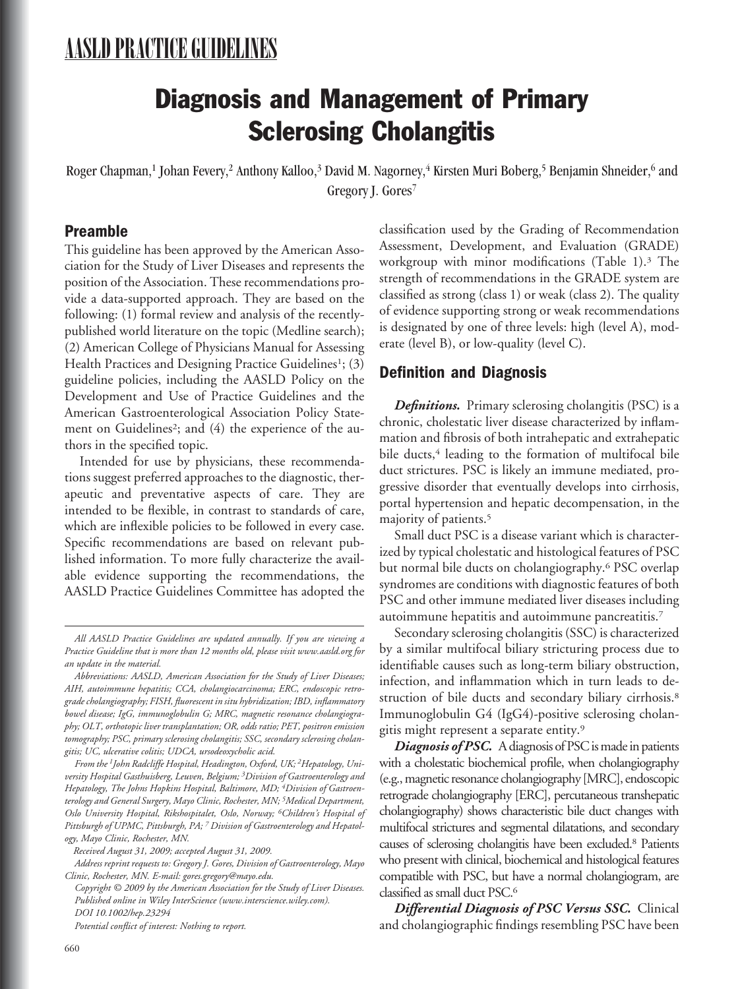# AASLD PRACTICE GUIDELINES

# Diagnosis and Management of Primary Sclerosing Cholangitis

Roger Chapman,<sup>1</sup> Johan Fevery,<sup>2</sup> Anthony Kalloo,<sup>3</sup> David M. Nagorney,<sup>4</sup> Kirsten Muri Boberg,<sup>5</sup> Benjamin Shneider,<sup>6</sup> and Gregory J. Gores<sup>7</sup>

# **Preamble**

This guideline has been approved by the American Association for the Study of Liver Diseases and represents the position of the Association. These recommendations provide a data-supported approach. They are based on the following: (1) formal review and analysis of the recentlypublished world literature on the topic (Medline search); (2) American College of Physicians Manual for Assessing Health Practices and Designing Practice Guidelines<sup>1</sup>; (3) guideline policies, including the AASLD Policy on the Development and Use of Practice Guidelines and the American Gastroenterological Association Policy Statement on Guidelines<sup>2</sup>; and (4) the experience of the authors in the specified topic.

Intended for use by physicians, these recommendations suggest preferred approaches to the diagnostic, therapeutic and preventative aspects of care. They are intended to be flexible, in contrast to standards of care, which are inflexible policies to be followed in every case. Specific recommendations are based on relevant published information. To more fully characterize the available evidence supporting the recommendations, the AASLD Practice Guidelines Committee has adopted the

*From the 1John Radcliffe Hospital, Headington, Oxford, UK; 2Hepatology, University Hospital Gasthuisberg, Leuven, Belgium; 3Division of Gastroenterology and Hepatology, The Johns Hopkins Hospital, Baltimore, MD; 4Division of Gastroenterology and General Surgery, Mayo Clinic, Rochester, MN; 5Medical Department, Oslo University Hospital, Rikshospitalet, Oslo, Norway; 6Children's Hospital of Pittsburgh of UPMC, Pittsburgh, PA; <sup>7</sup> Division of Gastroenterology and Hepatology, Mayo Clinic, Rochester, MN.*

*Potential conflict of interest: Nothing to report.*

classification used by the Grading of Recommendation Assessment, Development, and Evaluation (GRADE) workgroup with minor modifications (Table 1).3 The strength of recommendations in the GRADE system are classified as strong (class 1) or weak (class 2). The quality of evidence supporting strong or weak recommendations is designated by one of three levels: high (level A), moderate (level B), or low-quality (level C).

# **Definition and Diagnosis**

*Definitions.* Primary sclerosing cholangitis (PSC) is a chronic, cholestatic liver disease characterized by inflammation and fibrosis of both intrahepatic and extrahepatic bile ducts,<sup>4</sup> leading to the formation of multifocal bile duct strictures. PSC is likely an immune mediated, progressive disorder that eventually develops into cirrhosis, portal hypertension and hepatic decompensation, in the majority of patients.5

Small duct PSC is a disease variant which is characterized by typical cholestatic and histological features of PSC but normal bile ducts on cholangiography.6 PSC overlap syndromes are conditions with diagnostic features of both PSC and other immune mediated liver diseases including autoimmune hepatitis and autoimmune pancreatitis.7

Secondary sclerosing cholangitis (SSC) is characterized by a similar multifocal biliary stricturing process due to identifiable causes such as long-term biliary obstruction, infection, and inflammation which in turn leads to destruction of bile ducts and secondary biliary cirrhosis.<sup>8</sup> Immunoglobulin G4 (IgG4)-positive sclerosing cholangitis might represent a separate entity.9

**Diagnosis of PSC.** A diagnosis of PSC is made in patients with a cholestatic biochemical profile, when cholangiography (e.g., magnetic resonance cholangiography [MRC], endoscopic retrograde cholangiography [ERC], percutaneous transhepatic cholangiography) shows characteristic bile duct changes with multifocal strictures and segmental dilatations, and secondary causes of sclerosing cholangitis have been excluded.8 Patients who present with clinical, biochemical and histological features compatible with PSC, but have a normal cholangiogram, are classified as small duct PSC.6

*Differential Diagnosis of PSC Versus SSC.* Clinical and cholangiographic findings resembling PSC have been

*All AASLD Practice Guidelines are updated annually. If you are viewing a Practice Guideline that is more than 12 months old, please visit www.aasld.org for an update in the material.*

*Abbreviations: AASLD, American Association for the Study of Liver Diseases; AIH, autoimmune hepatitis; CCA, cholangiocarcinoma; ERC, endoscopic retrograde cholangiography; FISH, fluorescent in situ hybridization; IBD, inflammatory bowel disease; IgG, immunoglobulin G; MRC, magnetic resonance cholangiography; OLT, orthotopic liver transplantation; OR, odds ratio; PET, positron emission tomography; PSC, primary sclerosing cholangitis; SSC, secondary sclerosing cholangitis; UC, ulcerative colitis; UDCA, ursodeoxycholic acid.*

*Received August 31, 2009; accepted August 31, 2009.*

*Address reprint requests to: Gregory J. Gores, Division of Gastroenterology, Mayo Clinic, Rochester, MN. E-mail: gores.gregory@mayo.edu.*

*Copyright © 2009 by the American Association for the Study of Liver Diseases. Published online in Wiley InterScience (www.interscience.wiley.com). DOI 10.1002/hep.23294*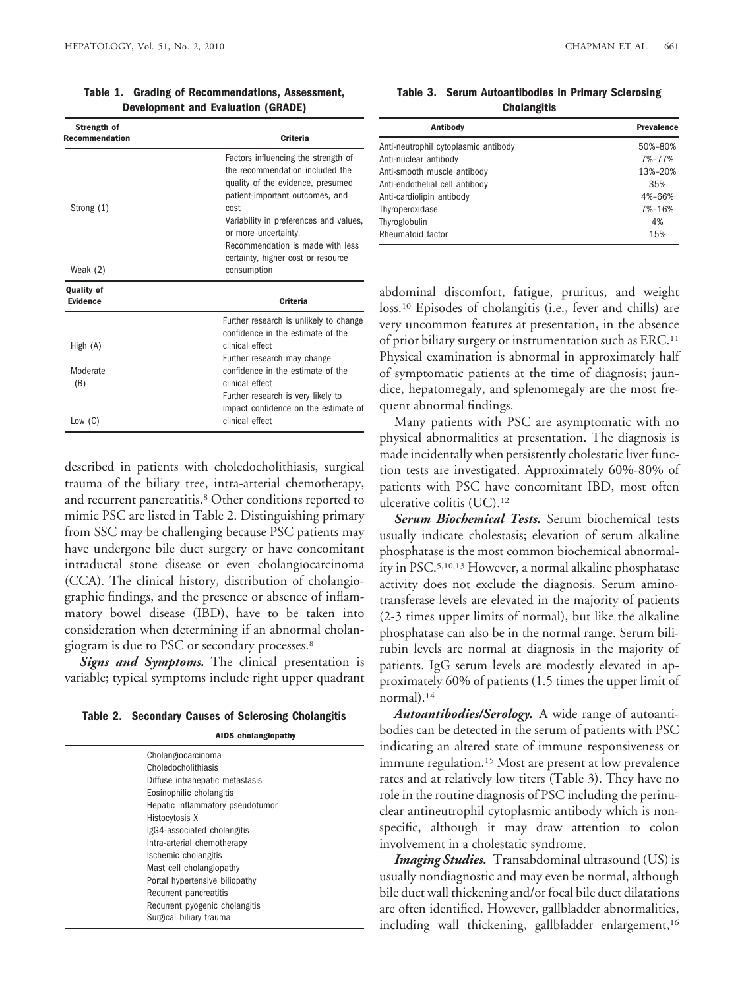| Strength of<br><b>Recommendation</b>                                                                                                                                                                                                   | Criteria                                                         |
|----------------------------------------------------------------------------------------------------------------------------------------------------------------------------------------------------------------------------------------|------------------------------------------------------------------|
| Factors influencing the strength of<br>the recommendation included the<br>quality of the evidence, presumed<br>patient-important outcomes, and<br>Strong (1)<br>cost<br>Variability in preferences and values,<br>or more uncertainty. |                                                                  |
|                                                                                                                                                                                                                                        | Recommendation is made with less                                 |
| Weak $(2)$                                                                                                                                                                                                                             | certainty, higher cost or resource<br>consumption                |
| <b>Quality of</b><br><b>Evidence</b>                                                                                                                                                                                                   | <b>Criteria</b>                                                  |
|                                                                                                                                                                                                                                        | Further research is unlikely to change                           |
|                                                                                                                                                                                                                                        | confidence in the estimate of the                                |
| High (A)                                                                                                                                                                                                                               | clinical effect                                                  |
| Moderate                                                                                                                                                                                                                               | Further research may change<br>confidence in the estimate of the |
|                                                                                                                                                                                                                                        | clinical effect                                                  |
| (B)                                                                                                                                                                                                                                    | Further research is very likely to                               |
|                                                                                                                                                                                                                                        | impact confidence on the estimate of                             |
| Low (C)                                                                                                                                                                                                                                | clinical effect                                                  |

#### **Table 1. Grading of Recommendations, Assessment, Development and Evaluation (GRADE)**

described in patients with choledocholithiasis, surgical trauma of the biliary tree, intra-arterial chemotherapy, and recurrent pancreatitis.8 Other conditions reported to mimic PSC are listed in Table 2. Distinguishing primary from SSC may be challenging because PSC patients may have undergone bile duct surgery or have concomitant intraductal stone disease or even cholangiocarcinoma (CCA). The clinical history, distribution of cholangiographic findings, and the presence or absence of inflammatory bowel disease (IBD), have to be taken into consideration when determining if an abnormal cholangiogram is due to PSC or secondary processes.8

*Signs and Symptoms.* The clinical presentation is variable; typical symptoms include right upper quadrant

**Table 2. Secondary Causes of Sclerosing Cholangitis**

| <b>AIDS</b> cholangiopathy       |  |
|----------------------------------|--|
| Cholangiocarcinoma               |  |
| Choledocholithiasis              |  |
| Diffuse intrahepatic metastasis  |  |
| Eosinophilic cholangitis         |  |
| Hepatic inflammatory pseudotumor |  |
| Histocytosis X                   |  |
| IgG4-associated cholangitis      |  |
| Intra-arterial chemotherapy      |  |
| Ischemic cholangitis             |  |
| Mast cell cholangiopathy         |  |
| Portal hypertensive biliopathy   |  |
| Recurrent pancreatitis           |  |
| Recurrent pyogenic cholangitis   |  |
| Surgical biliary trauma          |  |

**Table 3. Serum Autoantibodies in Primary Sclerosing Cholangitis**

| <b>Antibody</b>                      | <b>Prevalence</b> |
|--------------------------------------|-------------------|
| Anti-neutrophil cytoplasmic antibody | 50%-80%           |
| Anti-nuclear antibody                | 7%-77%            |
| Anti-smooth muscle antibody          | 13%-20%           |
| Anti-endothelial cell antibody       | 35%               |
| Anti-cardiolipin antibody            | 4%-66%            |
| Thyroperoxidase                      | 7%-16%            |
| Thyroglobulin                        | 4%                |
| Rheumatoid factor                    | 15%               |

abdominal discomfort, fatigue, pruritus, and weight loss.10 Episodes of cholangitis (i.e., fever and chills) are very uncommon features at presentation, in the absence of prior biliary surgery or instrumentation such as ERC.11 Physical examination is abnormal in approximately half of symptomatic patients at the time of diagnosis; jaundice, hepatomegaly, and splenomegaly are the most frequent abnormal findings.

Many patients with PSC are asymptomatic with no physical abnormalities at presentation. The diagnosis is made incidentally when persistently cholestatic liver function tests are investigated. Approximately 60%-80% of patients with PSC have concomitant IBD, most often ulcerative colitis (UC).12

*Serum Biochemical Tests.* Serum biochemical tests usually indicate cholestasis; elevation of serum alkaline phosphatase is the most common biochemical abnormality in PSC.5,10,13 However, a normal alkaline phosphatase activity does not exclude the diagnosis. Serum aminotransferase levels are elevated in the majority of patients (2-3 times upper limits of normal), but like the alkaline phosphatase can also be in the normal range. Serum bilirubin levels are normal at diagnosis in the majority of patients. IgG serum levels are modestly elevated in approximately 60% of patients (1.5 times the upper limit of normal).14

*Autoantibodies/Serology.* A wide range of autoantibodies can be detected in the serum of patients with PSC indicating an altered state of immune responsiveness or immune regulation.15 Most are present at low prevalence rates and at relatively low titers (Table 3). They have no role in the routine diagnosis of PSC including the perinuclear antineutrophil cytoplasmic antibody which is nonspecific, although it may draw attention to colon involvement in a cholestatic syndrome.

*Imaging Studies.* Transabdominal ultrasound (US) is usually nondiagnostic and may even be normal, although bile duct wall thickening and/or focal bile duct dilatations are often identified. However, gallbladder abnormalities, including wall thickening, gallbladder enlargement, $16$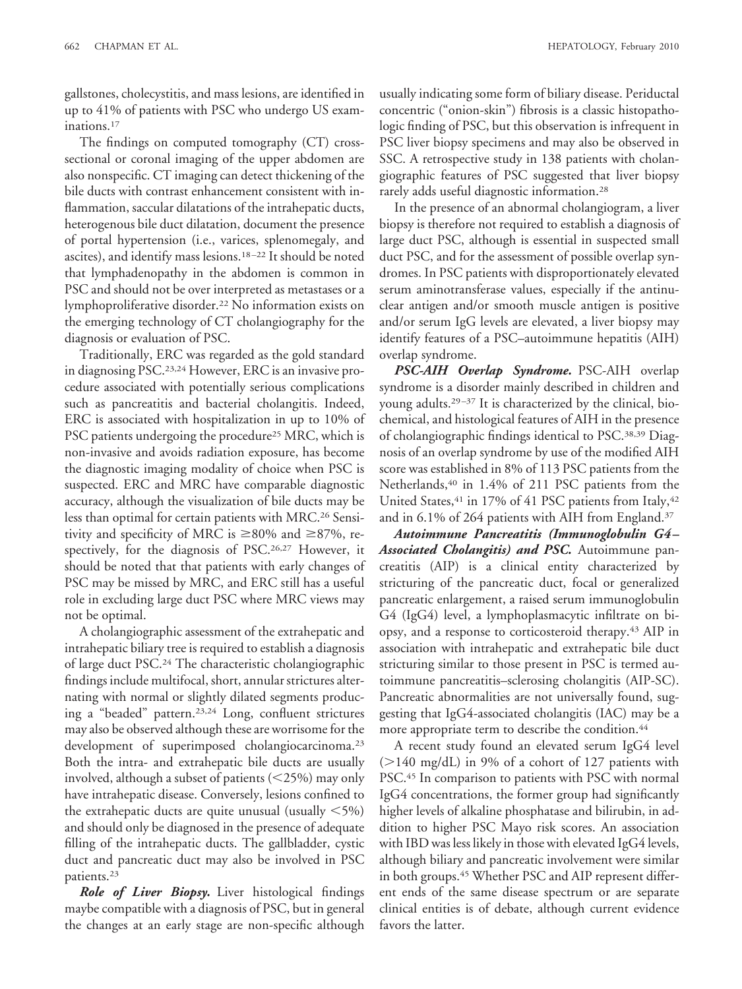662 CHAPMAN ET AL. **HEPATOLOGY, February 2010** 

gallstones, cholecystitis, and mass lesions, are identified in up to 41% of patients with PSC who undergo US examinations.<sup>17</sup>

The findings on computed tomography (CT) crosssectional or coronal imaging of the upper abdomen are also nonspecific. CT imaging can detect thickening of the bile ducts with contrast enhancement consistent with inflammation, saccular dilatations of the intrahepatic ducts, heterogenous bile duct dilatation, document the presence of portal hypertension (i.e., varices, splenomegaly, and ascites), and identify mass lesions.18 –22 It should be noted that lymphadenopathy in the abdomen is common in PSC and should not be over interpreted as metastases or a lymphoproliferative disorder.22 No information exists on the emerging technology of CT cholangiography for the diagnosis or evaluation of PSC.

Traditionally, ERC was regarded as the gold standard in diagnosing PSC.23,24 However, ERC is an invasive procedure associated with potentially serious complications such as pancreatitis and bacterial cholangitis. Indeed, ERC is associated with hospitalization in up to 10% of PSC patients undergoing the procedure<sup>25</sup> MRC, which is non-invasive and avoids radiation exposure, has become the diagnostic imaging modality of choice when PSC is suspected. ERC and MRC have comparable diagnostic accuracy, although the visualization of bile ducts may be less than optimal for certain patients with MRC.26 Sensitivity and specificity of MRC is  $\geq$ 80% and  $\geq$ 87%, respectively, for the diagnosis of PSC.<sup>26,27</sup> However, it should be noted that that patients with early changes of PSC may be missed by MRC, and ERC still has a useful role in excluding large duct PSC where MRC views may not be optimal.

A cholangiographic assessment of the extrahepatic and intrahepatic biliary tree is required to establish a diagnosis of large duct PSC.24 The characteristic cholangiographic findings include multifocal, short, annular strictures alternating with normal or slightly dilated segments producing a "beaded" pattern.23,24 Long, confluent strictures may also be observed although these are worrisome for the development of superimposed cholangiocarcinoma.<sup>23</sup> Both the intra- and extrahepatic bile ducts are usually involved, although a subset of patients  $(<25\%)$  may only have intrahepatic disease. Conversely, lesions confined to the extrahepatic ducts are quite unusual (usually  $\leq 5\%$ ) and should only be diagnosed in the presence of adequate filling of the intrahepatic ducts. The gallbladder, cystic duct and pancreatic duct may also be involved in PSC patients.23

*Role of Liver Biopsy.* Liver histological findings maybe compatible with a diagnosis of PSC, but in general the changes at an early stage are non-specific although usually indicating some form of biliary disease. Periductal concentric ("onion-skin") fibrosis is a classic histopathologic finding of PSC, but this observation is infrequent in PSC liver biopsy specimens and may also be observed in SSC. A retrospective study in 138 patients with cholangiographic features of PSC suggested that liver biopsy rarely adds useful diagnostic information.28

In the presence of an abnormal cholangiogram, a liver biopsy is therefore not required to establish a diagnosis of large duct PSC, although is essential in suspected small duct PSC, and for the assessment of possible overlap syndromes. In PSC patients with disproportionately elevated serum aminotransferase values, especially if the antinuclear antigen and/or smooth muscle antigen is positive and/or serum IgG levels are elevated, a liver biopsy may identify features of a PSC–autoimmune hepatitis (AIH) overlap syndrome.

*PSC-AIH Overlap Syndrome.* PSC-AIH overlap syndrome is a disorder mainly described in children and young adults.<sup>29-37</sup> It is characterized by the clinical, biochemical, and histological features of AIH in the presence of cholangiographic findings identical to PSC.38,39 Diagnosis of an overlap syndrome by use of the modified AIH score was established in 8% of 113 PSC patients from the Netherlands,<sup>40</sup> in 1.4% of 211 PSC patients from the United States,<sup>41</sup> in 17% of 41 PSC patients from Italy,<sup>42</sup> and in 6.1% of 264 patients with AIH from England.37

*Autoimmune Pancreatitis (Immunoglobulin G4 – Associated Cholangitis) and PSC.* Autoimmune pancreatitis (AIP) is a clinical entity characterized by stricturing of the pancreatic duct, focal or generalized pancreatic enlargement, a raised serum immunoglobulin G4 (IgG4) level, a lymphoplasmacytic infiltrate on biopsy, and a response to corticosteroid therapy.43 AIP in association with intrahepatic and extrahepatic bile duct stricturing similar to those present in PSC is termed autoimmune pancreatitis–sclerosing cholangitis (AIP-SC). Pancreatic abnormalities are not universally found, suggesting that IgG4-associated cholangitis (IAC) may be a more appropriate term to describe the condition.<sup>44</sup>

A recent study found an elevated serum IgG4 level (>140 mg/dL) in 9% of a cohort of 127 patients with PSC.45 In comparison to patients with PSC with normal IgG4 concentrations, the former group had significantly higher levels of alkaline phosphatase and bilirubin, in addition to higher PSC Mayo risk scores. An association with IBD was less likely in those with elevated IgG4 levels, although biliary and pancreatic involvement were similar in both groups.<sup>45</sup> Whether PSC and AIP represent different ends of the same disease spectrum or are separate clinical entities is of debate, although current evidence favors the latter.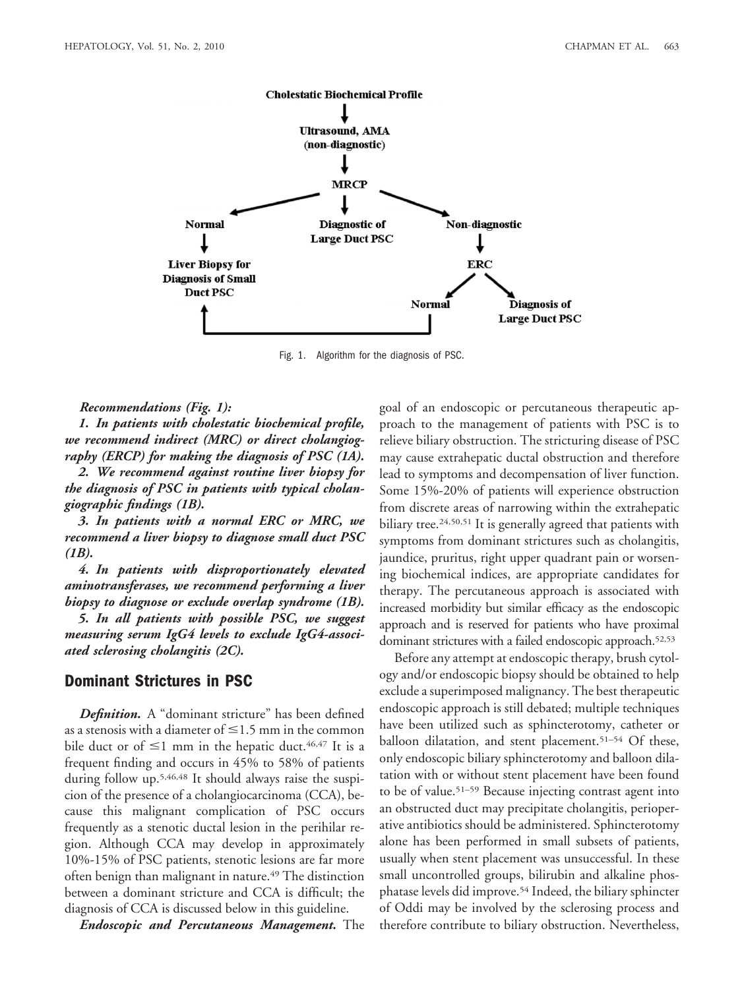

Fig. 1. Algorithm for the diagnosis of PSC.

#### *Recommendations (Fig. 1):*

*1. In patients with cholestatic biochemical profile, we recommend indirect (MRC) or direct cholangiography (ERCP) for making the diagnosis of PSC (1A).*

*2. We recommend against routine liver biopsy for the diagnosis of PSC in patients with typical cholangiographic findings (1B).*

*3. In patients with a normal ERC or MRC, we recommend a liver biopsy to diagnose small duct PSC (1B).*

*4. In patients with disproportionately elevated aminotransferases, we recommend performing a liver biopsy to diagnose or exclude overlap syndrome (1B).*

*5. In all patients with possible PSC, we suggest measuring serum IgG4 levels to exclude IgG4-associated sclerosing cholangitis (2C).*

# **Dominant Strictures in PSC**

*Definition.* A "dominant stricture" has been defined as a stenosis with a diameter of  $\leq$ 1.5 mm in the common bile duct or of  $\leq 1$  mm in the hepatic duct.<sup>46,47</sup> It is a frequent finding and occurs in 45% to 58% of patients during follow up.5,46,48 It should always raise the suspicion of the presence of a cholangiocarcinoma (CCA), because this malignant complication of PSC occurs frequently as a stenotic ductal lesion in the perihilar region. Although CCA may develop in approximately 10%-15% of PSC patients, stenotic lesions are far more often benign than malignant in nature.49 The distinction between a dominant stricture and CCA is difficult; the diagnosis of CCA is discussed below in this guideline.

*Endoscopic and Percutaneous Management.* The

goal of an endoscopic or percutaneous therapeutic approach to the management of patients with PSC is to relieve biliary obstruction. The stricturing disease of PSC may cause extrahepatic ductal obstruction and therefore lead to symptoms and decompensation of liver function. Some 15%-20% of patients will experience obstruction from discrete areas of narrowing within the extrahepatic biliary tree.<sup>24,50,51</sup> It is generally agreed that patients with symptoms from dominant strictures such as cholangitis, jaundice, pruritus, right upper quadrant pain or worsening biochemical indices, are appropriate candidates for therapy. The percutaneous approach is associated with increased morbidity but similar efficacy as the endoscopic approach and is reserved for patients who have proximal dominant strictures with a failed endoscopic approach.52,53

Before any attempt at endoscopic therapy, brush cytology and/or endoscopic biopsy should be obtained to help exclude a superimposed malignancy. The best therapeutic endoscopic approach is still debated; multiple techniques have been utilized such as sphincterotomy, catheter or balloon dilatation, and stent placement.51–54 Of these, only endoscopic biliary sphincterotomy and balloon dilatation with or without stent placement have been found to be of value.51–59 Because injecting contrast agent into an obstructed duct may precipitate cholangitis, perioperative antibiotics should be administered. Sphincterotomy alone has been performed in small subsets of patients, usually when stent placement was unsuccessful. In these small uncontrolled groups, bilirubin and alkaline phosphatase levels did improve.54 Indeed, the biliary sphincter of Oddi may be involved by the sclerosing process and therefore contribute to biliary obstruction. Nevertheless,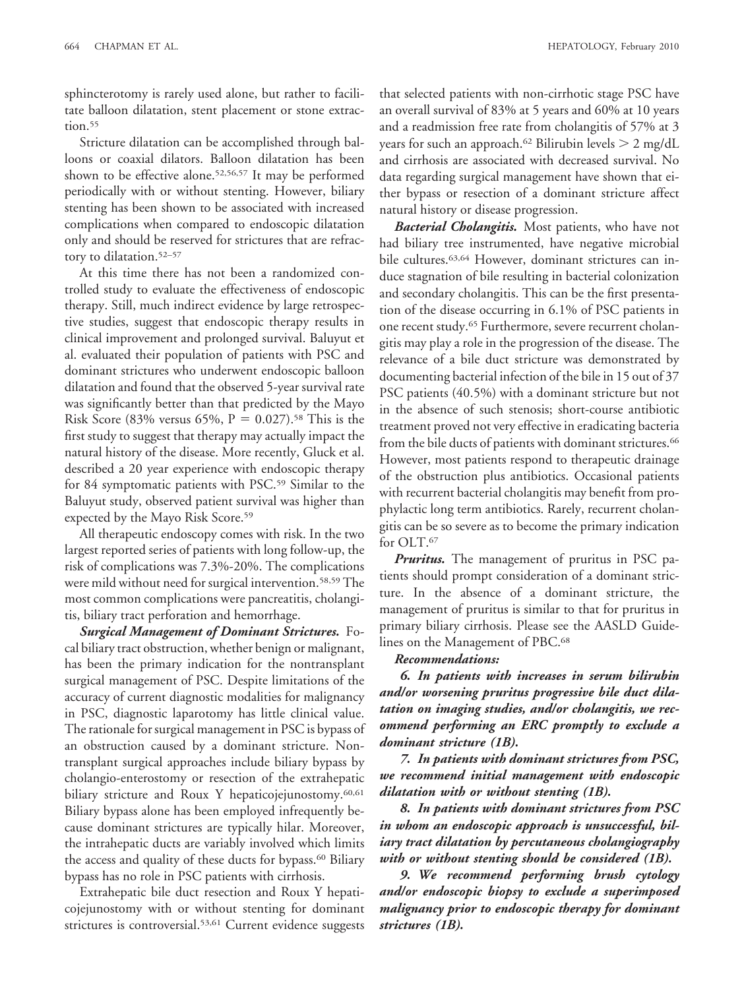sphincterotomy is rarely used alone, but rather to facilitate balloon dilatation, stent placement or stone extraction.<sup>55</sup>

Stricture dilatation can be accomplished through balloons or coaxial dilators. Balloon dilatation has been shown to be effective alone.52,56,57 It may be performed periodically with or without stenting. However, biliary stenting has been shown to be associated with increased complications when compared to endoscopic dilatation only and should be reserved for strictures that are refractory to dilatation.<sup>52-57</sup>

At this time there has not been a randomized controlled study to evaluate the effectiveness of endoscopic therapy. Still, much indirect evidence by large retrospective studies, suggest that endoscopic therapy results in clinical improvement and prolonged survival. Baluyut et al. evaluated their population of patients with PSC and dominant strictures who underwent endoscopic balloon dilatation and found that the observed 5-year survival rate was significantly better than that predicted by the Mayo Risk Score (83% versus 65%,  $P = 0.027$ ).<sup>58</sup> This is the first study to suggest that therapy may actually impact the natural history of the disease. More recently, Gluck et al. described a 20 year experience with endoscopic therapy for 84 symptomatic patients with PSC.<sup>59</sup> Similar to the Baluyut study, observed patient survival was higher than expected by the Mayo Risk Score.59

All therapeutic endoscopy comes with risk. In the two largest reported series of patients with long follow-up, the risk of complications was 7.3%-20%. The complications were mild without need for surgical intervention.<sup>58,59</sup> The most common complications were pancreatitis, cholangitis, biliary tract perforation and hemorrhage.

*Surgical Management of Dominant Strictures.* Focal biliary tract obstruction, whether benign or malignant, has been the primary indication for the nontransplant surgical management of PSC. Despite limitations of the accuracy of current diagnostic modalities for malignancy in PSC, diagnostic laparotomy has little clinical value. The rationale for surgical management in PSC is bypass of an obstruction caused by a dominant stricture. Nontransplant surgical approaches include biliary bypass by cholangio-enterostomy or resection of the extrahepatic biliary stricture and Roux Y hepaticojejunostomy.<sup>60,61</sup> Biliary bypass alone has been employed infrequently because dominant strictures are typically hilar. Moreover, the intrahepatic ducts are variably involved which limits the access and quality of these ducts for bypass.<sup>60</sup> Biliary bypass has no role in PSC patients with cirrhosis.

Extrahepatic bile duct resection and Roux Y hepaticojejunostomy with or without stenting for dominant strictures is controversial.<sup>53,61</sup> Current evidence suggests

that selected patients with non-cirrhotic stage PSC have an overall survival of 83% at 5 years and 60% at 10 years and a readmission free rate from cholangitis of 57% at 3 years for such an approach. $^{62}$  Bilirubin levels  $\geq 2$  mg/dL and cirrhosis are associated with decreased survival. No data regarding surgical management have shown that either bypass or resection of a dominant stricture affect natural history or disease progression.

*Bacterial Cholangitis.* Most patients, who have not had biliary tree instrumented, have negative microbial bile cultures.<sup>63,64</sup> However, dominant strictures can induce stagnation of bile resulting in bacterial colonization and secondary cholangitis. This can be the first presentation of the disease occurring in 6.1% of PSC patients in one recent study.65 Furthermore, severe recurrent cholangitis may play a role in the progression of the disease. The relevance of a bile duct stricture was demonstrated by documenting bacterial infection of the bile in 15 out of 37 PSC patients (40.5%) with a dominant stricture but not in the absence of such stenosis; short-course antibiotic treatment proved not very effective in eradicating bacteria from the bile ducts of patients with dominant strictures.<sup>66</sup> However, most patients respond to therapeutic drainage of the obstruction plus antibiotics. Occasional patients with recurrent bacterial cholangitis may benefit from prophylactic long term antibiotics. Rarely, recurrent cholangitis can be so severe as to become the primary indication for OLT.67

*Pruritus.* The management of pruritus in PSC patients should prompt consideration of a dominant stricture. In the absence of a dominant stricture, the management of pruritus is similar to that for pruritus in primary biliary cirrhosis. Please see the AASLD Guidelines on the Management of PBC.<sup>68</sup>

#### *Recommendations:*

*6. In patients with increases in serum bilirubin and/or worsening pruritus progressive bile duct dilatation on imaging studies, and/or cholangitis, we recommend performing an ERC promptly to exclude a dominant stricture (1B).*

*7. In patients with dominant strictures from PSC, we recommend initial management with endoscopic dilatation with or without stenting (1B).*

*8. In patients with dominant strictures from PSC in whom an endoscopic approach is unsuccessful, biliary tract dilatation by percutaneous cholangiography with or without stenting should be considered (1B).*

*9. We recommend performing brush cytology and/or endoscopic biopsy to exclude a superimposed malignancy prior to endoscopic therapy for dominant strictures (1B).*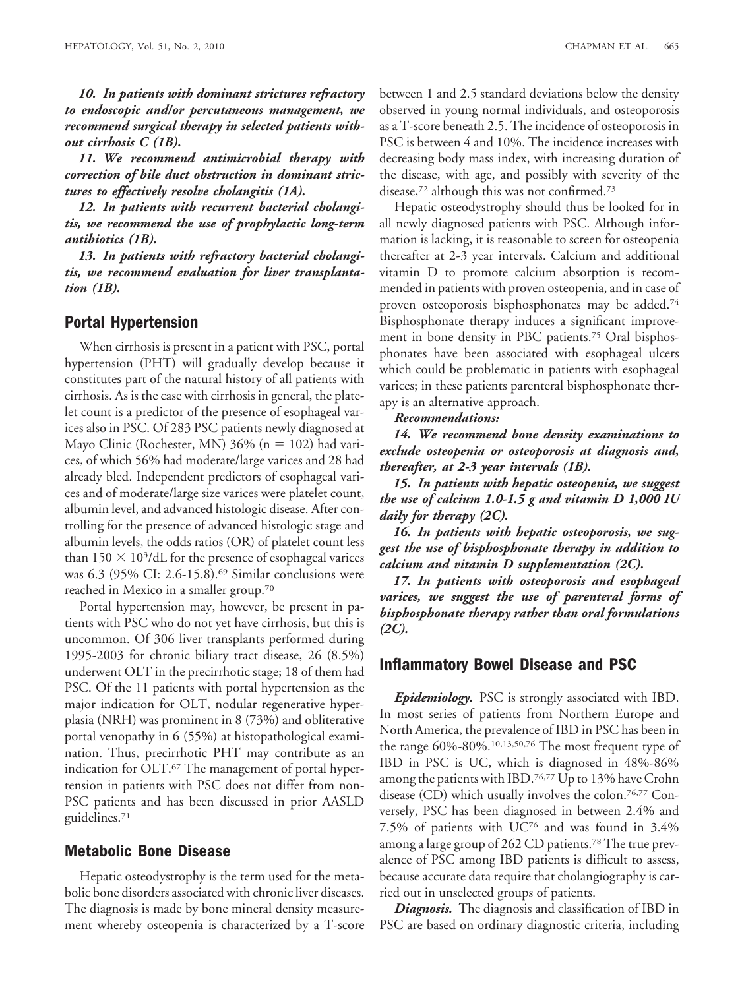*10. In patients with dominant strictures refractory to endoscopic and/or percutaneous management, we recommend surgical therapy in selected patients without cirrhosis C (1B).*

*11. We recommend antimicrobial therapy with correction of bile duct obstruction in dominant strictures to effectively resolve cholangitis (1A).*

*12. In patients with recurrent bacterial cholangitis, we recommend the use of prophylactic long-term antibiotics (1B).*

*13. In patients with refractory bacterial cholangitis, we recommend evaluation for liver transplantation (1B).*

# **Portal Hypertension**

When cirrhosis is present in a patient with PSC, portal hypertension (PHT) will gradually develop because it constitutes part of the natural history of all patients with cirrhosis. As is the case with cirrhosis in general, the platelet count is a predictor of the presence of esophageal varices also in PSC. Of 283 PSC patients newly diagnosed at Mayo Clinic (Rochester, MN)  $36\%$  (n = 102) had varices, of which 56% had moderate/large varices and 28 had already bled. Independent predictors of esophageal varices and of moderate/large size varices were platelet count, albumin level, and advanced histologic disease. After controlling for the presence of advanced histologic stage and albumin levels, the odds ratios (OR) of platelet count less than  $150 \times 10^3$ /dL for the presence of esophageal varices was 6.3 (95% CI: 2.6-15.8).69 Similar conclusions were reached in Mexico in a smaller group.70

Portal hypertension may, however, be present in patients with PSC who do not yet have cirrhosis, but this is uncommon. Of 306 liver transplants performed during 1995-2003 for chronic biliary tract disease, 26 (8.5%) underwent OLT in the precirrhotic stage; 18 of them had PSC. Of the 11 patients with portal hypertension as the major indication for OLT, nodular regenerative hyperplasia (NRH) was prominent in 8 (73%) and obliterative portal venopathy in 6 (55%) at histopathological examination. Thus, precirrhotic PHT may contribute as an indication for OLT.<sup>67</sup> The management of portal hypertension in patients with PSC does not differ from non-PSC patients and has been discussed in prior AASLD guidelines.71

# **Metabolic Bone Disease**

Hepatic osteodystrophy is the term used for the metabolic bone disorders associated with chronic liver diseases. The diagnosis is made by bone mineral density measurement whereby osteopenia is characterized by a T-score between 1 and 2.5 standard deviations below the density observed in young normal individuals, and osteoporosis as a T-score beneath 2.5. The incidence of osteoporosis in PSC is between 4 and 10%. The incidence increases with decreasing body mass index, with increasing duration of the disease, with age, and possibly with severity of the disease,72 although this was not confirmed.73

Hepatic osteodystrophy should thus be looked for in all newly diagnosed patients with PSC. Although information is lacking, it is reasonable to screen for osteopenia thereafter at 2-3 year intervals. Calcium and additional vitamin D to promote calcium absorption is recommended in patients with proven osteopenia, and in case of proven osteoporosis bisphosphonates may be added.74 Bisphosphonate therapy induces a significant improvement in bone density in PBC patients.75 Oral bisphosphonates have been associated with esophageal ulcers which could be problematic in patients with esophageal varices; in these patients parenteral bisphosphonate therapy is an alternative approach.

#### *Recommendations:*

*14. We recommend bone density examinations to exclude osteopenia or osteoporosis at diagnosis and, thereafter, at 2-3 year intervals (1B).*

*15. In patients with hepatic osteopenia, we suggest the use of calcium 1.0-1.5 g and vitamin D 1,000 IU daily for therapy (2C).*

*16. In patients with hepatic osteoporosis, we suggest the use of bisphosphonate therapy in addition to calcium and vitamin D supplementation (2C).*

*17. In patients with osteoporosis and esophageal varices, we suggest the use of parenteral forms of bisphosphonate therapy rather than oral formulations (2C).*

# **Inflammatory Bowel Disease and PSC**

*Epidemiology.* PSC is strongly associated with IBD. In most series of patients from Northern Europe and North America, the prevalence of IBD in PSC has been in the range 60%-80%.10,13,50,76 The most frequent type of IBD in PSC is UC, which is diagnosed in 48%-86% among the patients with IBD.76,77 Up to 13% have Crohn disease (CD) which usually involves the colon.76,77 Conversely, PSC has been diagnosed in between 2.4% and 7.5% of patients with UC76 and was found in 3.4% among a large group of 262 CD patients.78 The true prevalence of PSC among IBD patients is difficult to assess, because accurate data require that cholangiography is carried out in unselected groups of patients.

*Diagnosis.* The diagnosis and classification of IBD in PSC are based on ordinary diagnostic criteria, including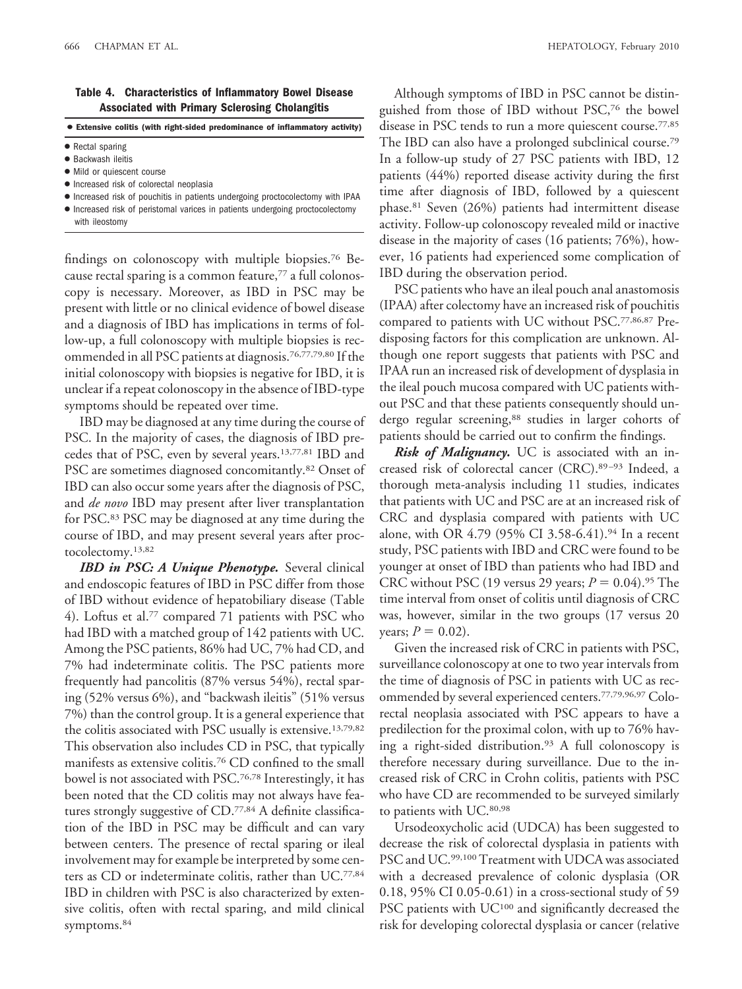#### **Table 4. Characteristics of Inflammatory Bowel Disease Associated with Primary Sclerosing Cholangitis**

● **Extensive colitis (with right-sided predominance of inflammatory activity)**

- Rectal sparing
- Backwash ileitis
- Mild or quiescent course
- Increased risk of colorectal neoplasia
- Increased risk of pouchitis in patients undergoing proctocolectomy with IPAA
- Increased risk of peristomal varices in patients undergoing proctocolectomy with ileostomy

findings on colonoscopy with multiple biopsies.76 Because rectal sparing is a common feature,77 a full colonoscopy is necessary. Moreover, as IBD in PSC may be present with little or no clinical evidence of bowel disease and a diagnosis of IBD has implications in terms of follow-up, a full colonoscopy with multiple biopsies is recommended in all PSC patients at diagnosis.76,77,79,80 If the initial colonoscopy with biopsies is negative for IBD, it is unclear if a repeat colonoscopy in the absence of IBD-type symptoms should be repeated over time.

IBD may be diagnosed at any time during the course of PSC. In the majority of cases, the diagnosis of IBD precedes that of PSC, even by several years.13,77,81 IBD and PSC are sometimes diagnosed concomitantly.82 Onset of IBD can also occur some years after the diagnosis of PSC, and *de novo* IBD may present after liver transplantation for PSC.83 PSC may be diagnosed at any time during the course of IBD, and may present several years after proctocolectomy.13,82

*IBD in PSC: A Unique Phenotype.* Several clinical and endoscopic features of IBD in PSC differ from those of IBD without evidence of hepatobiliary disease (Table 4). Loftus et al.77 compared 71 patients with PSC who had IBD with a matched group of 142 patients with UC. Among the PSC patients, 86% had UC, 7% had CD, and 7% had indeterminate colitis. The PSC patients more frequently had pancolitis (87% versus 54%), rectal sparing (52% versus 6%), and "backwash ileitis" (51% versus 7%) than the control group. It is a general experience that the colitis associated with PSC usually is extensive.13,79,82 This observation also includes CD in PSC, that typically manifests as extensive colitis.76 CD confined to the small bowel is not associated with PSC.76,78 Interestingly, it has been noted that the CD colitis may not always have features strongly suggestive of CD.77,84 A definite classification of the IBD in PSC may be difficult and can vary between centers. The presence of rectal sparing or ileal involvement may for example be interpreted by some centers as CD or indeterminate colitis, rather than UC.77,84 IBD in children with PSC is also characterized by extensive colitis, often with rectal sparing, and mild clinical symptoms.84

Although symptoms of IBD in PSC cannot be distinguished from those of IBD without PSC,76 the bowel disease in PSC tends to run a more quiescent course.<sup>77,85</sup> The IBD can also have a prolonged subclinical course.79 In a follow-up study of 27 PSC patients with IBD, 12 patients (44%) reported disease activity during the first time after diagnosis of IBD, followed by a quiescent phase.81 Seven (26%) patients had intermittent disease activity. Follow-up colonoscopy revealed mild or inactive disease in the majority of cases (16 patients; 76%), however, 16 patients had experienced some complication of IBD during the observation period.

PSC patients who have an ileal pouch anal anastomosis (IPAA) after colectomy have an increased risk of pouchitis compared to patients with UC without PSC.77,86,87 Predisposing factors for this complication are unknown. Although one report suggests that patients with PSC and IPAA run an increased risk of development of dysplasia in the ileal pouch mucosa compared with UC patients without PSC and that these patients consequently should undergo regular screening,<sup>88</sup> studies in larger cohorts of patients should be carried out to confirm the findings.

*Risk of Malignancy.* UC is associated with an increased risk of colorectal cancer (CRC).89-93 Indeed, a thorough meta-analysis including 11 studies, indicates that patients with UC and PSC are at an increased risk of CRC and dysplasia compared with patients with UC alone, with OR 4.79 (95% CI 3.58-6.41).<sup>94</sup> In a recent study, PSC patients with IBD and CRC were found to be younger at onset of IBD than patients who had IBD and CRC without PSC (19 versus 29 years;  $P = 0.04$ ).<sup>95</sup> The time interval from onset of colitis until diagnosis of CRC was, however, similar in the two groups (17 versus 20 years;  $P = 0.02$ ).

Given the increased risk of CRC in patients with PSC, surveillance colonoscopy at one to two year intervals from the time of diagnosis of PSC in patients with UC as recommended by several experienced centers.77,79,96,97 Colorectal neoplasia associated with PSC appears to have a predilection for the proximal colon, with up to 76% having a right-sided distribution.<sup>93</sup> A full colonoscopy is therefore necessary during surveillance. Due to the increased risk of CRC in Crohn colitis, patients with PSC who have CD are recommended to be surveyed similarly to patients with UC.80,98

Ursodeoxycholic acid (UDCA) has been suggested to decrease the risk of colorectal dysplasia in patients with PSC and UC.<sup>99,100</sup> Treatment with UDCA was associated with a decreased prevalence of colonic dysplasia (OR 0.18, 95% CI 0.05-0.61) in a cross-sectional study of 59 PSC patients with UC<sup>100</sup> and significantly decreased the risk for developing colorectal dysplasia or cancer (relative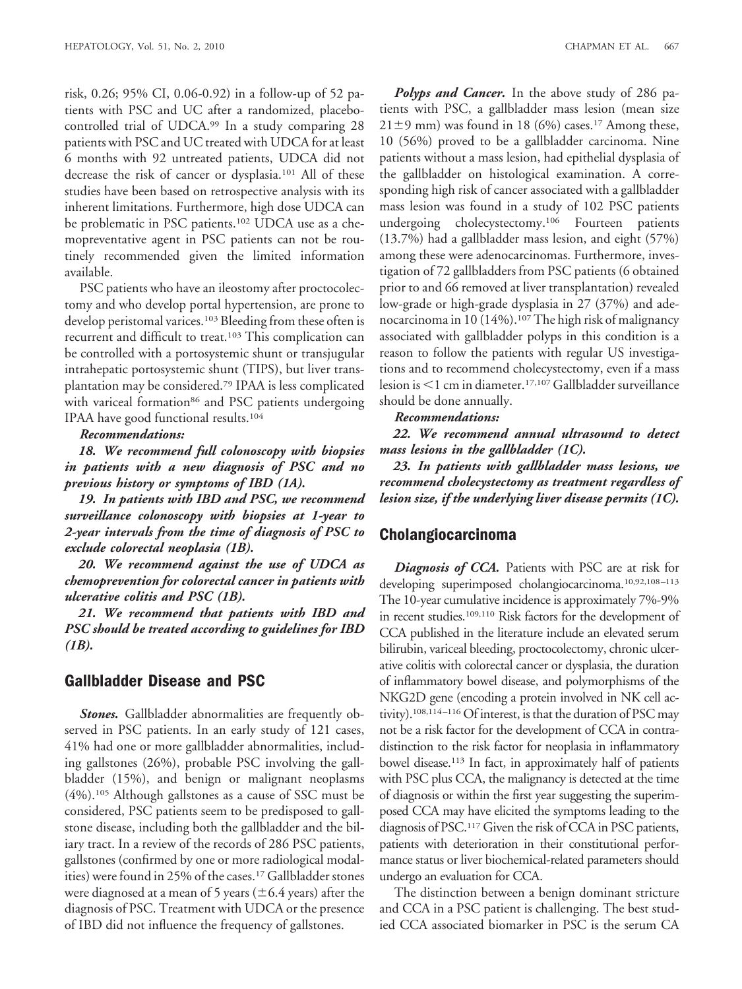risk, 0.26; 95% CI, 0.06-0.92) in a follow-up of 52 patients with PSC and UC after a randomized, placebocontrolled trial of UDCA.<sup>99</sup> In a study comparing 28 patients with PSC and UC treated with UDCA for at least 6 months with 92 untreated patients, UDCA did not decrease the risk of cancer or dysplasia.101 All of these studies have been based on retrospective analysis with its inherent limitations. Furthermore, high dose UDCA can be problematic in PSC patients.<sup>102</sup> UDCA use as a chemopreventative agent in PSC patients can not be routinely recommended given the limited information available.

PSC patients who have an ileostomy after proctocolectomy and who develop portal hypertension, are prone to develop peristomal varices.<sup>103</sup> Bleeding from these often is recurrent and difficult to treat.103 This complication can be controlled with a portosystemic shunt or transjugular intrahepatic portosystemic shunt (TIPS), but liver transplantation may be considered.79 IPAA is less complicated with variceal formation<sup>86</sup> and PSC patients undergoing IPAA have good functional results.104

#### *Recommendations:*

*18. We recommend full colonoscopy with biopsies in patients with a new diagnosis of PSC and no previous history or symptoms of IBD (1A).*

*19. In patients with IBD and PSC, we recommend surveillance colonoscopy with biopsies at 1-year to 2-year intervals from the time of diagnosis of PSC to exclude colorectal neoplasia (1B).*

*20. We recommend against the use of UDCA as chemoprevention for colorectal cancer in patients with ulcerative colitis and PSC (1B).*

*21. We recommend that patients with IBD and PSC should be treated according to guidelines for IBD (1B).*

# **Gallbladder Disease and PSC**

*Stones.* Gallbladder abnormalities are frequently observed in PSC patients. In an early study of 121 cases, 41% had one or more gallbladder abnormalities, including gallstones (26%), probable PSC involving the gallbladder (15%), and benign or malignant neoplasms (4%).105 Although gallstones as a cause of SSC must be considered, PSC patients seem to be predisposed to gallstone disease, including both the gallbladder and the biliary tract. In a review of the records of 286 PSC patients, gallstones (confirmed by one or more radiological modalities) were found in 25% of the cases.17 Gallbladder stones were diagnosed at a mean of 5 years ( $\pm$  6.4 years) after the diagnosis of PSC. Treatment with UDCA or the presence of IBD did not influence the frequency of gallstones.

*Polyps and Cancer.* In the above study of 286 patients with PSC, a gallbladder mass lesion (mean size  $21\pm9$  mm) was found in 18 (6%) cases.<sup>17</sup> Among these, 10 (56%) proved to be a gallbladder carcinoma. Nine patients without a mass lesion, had epithelial dysplasia of the gallbladder on histological examination. A corresponding high risk of cancer associated with a gallbladder mass lesion was found in a study of 102 PSC patients undergoing cholecystectomy.106 Fourteen patients (13.7%) had a gallbladder mass lesion, and eight (57%) among these were adenocarcinomas. Furthermore, investigation of 72 gallbladders from PSC patients (6 obtained prior to and 66 removed at liver transplantation) revealed low-grade or high-grade dysplasia in 27 (37%) and adenocarcinoma in 10 (14%).<sup>107</sup> The high risk of malignancy associated with gallbladder polyps in this condition is a reason to follow the patients with regular US investigations and to recommend cholecystectomy, even if a mass lesion is  $\leq 1$  cm in diameter.<sup>17,107</sup> Gallbladder surveillance

#### should be done annually. *Recommendations:*

*22. We recommend annual ultrasound to detect mass lesions in the gallbladder (1C).*

*23. In patients with gallbladder mass lesions, we recommend cholecystectomy as treatment regardless of lesion size, if the underlying liver disease permits (1C).*

# **Cholangiocarcinoma**

*Diagnosis of CCA.* Patients with PSC are at risk for developing superimposed cholangiocarcinoma.<sup>10,92,108-113</sup> The 10-year cumulative incidence is approximately 7%-9% in recent studies.109,110 Risk factors for the development of CCA published in the literature include an elevated serum bilirubin, variceal bleeding, proctocolectomy, chronic ulcerative colitis with colorectal cancer or dysplasia, the duration of inflammatory bowel disease, and polymorphisms of the NKG2D gene (encoding a protein involved in NK cell activity).<sup>108,114-116</sup> Of interest, is that the duration of PSC may not be a risk factor for the development of CCA in contradistinction to the risk factor for neoplasia in inflammatory bowel disease.<sup>113</sup> In fact, in approximately half of patients with PSC plus CCA, the malignancy is detected at the time of diagnosis or within the first year suggesting the superimposed CCA may have elicited the symptoms leading to the diagnosis of PSC.117 Given the risk of CCA in PSC patients, patients with deterioration in their constitutional performance status or liver biochemical-related parameters should undergo an evaluation for CCA.

The distinction between a benign dominant stricture and CCA in a PSC patient is challenging. The best studied CCA associated biomarker in PSC is the serum CA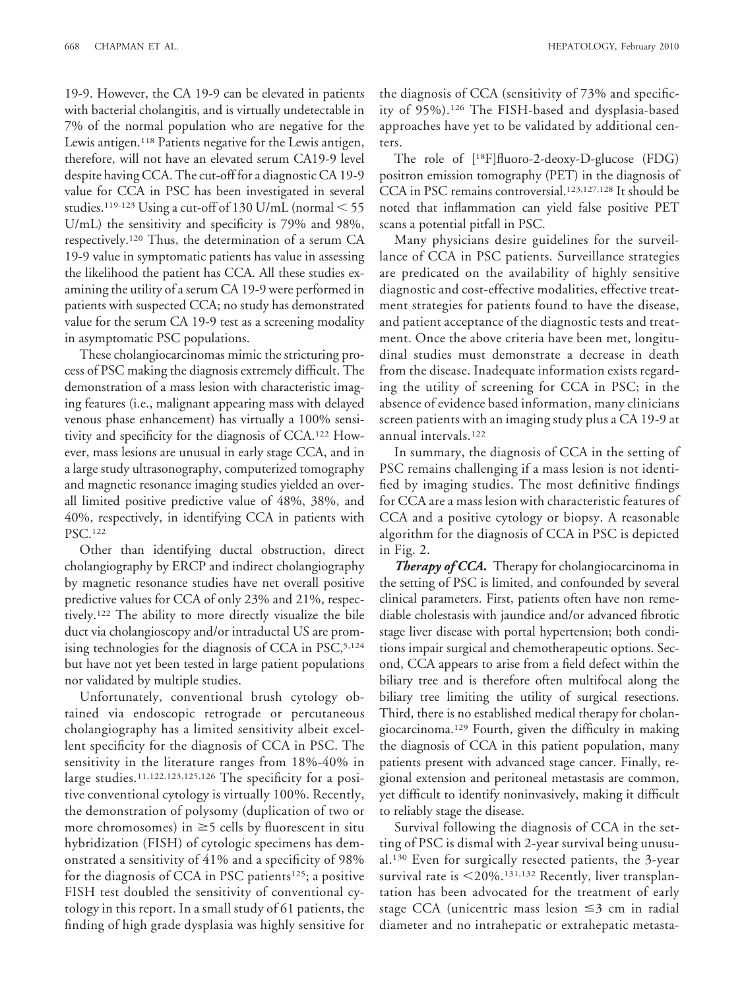19-9. However, the CA 19-9 can be elevated in patients with bacterial cholangitis, and is virtually undetectable in 7% of the normal population who are negative for the Lewis antigen.118 Patients negative for the Lewis antigen, therefore, will not have an elevated serum CA19-9 level despite having CCA. The cut-off for a diagnostic CA 19-9 value for CCA in PSC has been investigated in several studies.<sup>119-123</sup> Using a cut-off of 130 U/mL (normal  $\leq$  55 U/mL) the sensitivity and specificity is 79% and 98%, respectively.120 Thus, the determination of a serum CA 19-9 value in symptomatic patients has value in assessing the likelihood the patient has CCA. All these studies examining the utility of a serum CA 19-9 were performed in patients with suspected CCA; no study has demonstrated value for the serum CA 19-9 test as a screening modality in asymptomatic PSC populations.

These cholangiocarcinomas mimic the stricturing process of PSC making the diagnosis extremely difficult. The demonstration of a mass lesion with characteristic imaging features (i.e., malignant appearing mass with delayed venous phase enhancement) has virtually a 100% sensitivity and specificity for the diagnosis of CCA.122 However, mass lesions are unusual in early stage CCA, and in a large study ultrasonography, computerized tomography and magnetic resonance imaging studies yielded an overall limited positive predictive value of 48%, 38%, and 40%, respectively, in identifying CCA in patients with PSC.122

Other than identifying ductal obstruction, direct cholangiography by ERCP and indirect cholangiography by magnetic resonance studies have net overall positive predictive values for CCA of only 23% and 21%, respectively.122 The ability to more directly visualize the bile duct via cholangioscopy and/or intraductal US are promising technologies for the diagnosis of CCA in  $PSC<sub>5,124</sub>$ but have not yet been tested in large patient populations nor validated by multiple studies.

Unfortunately, conventional brush cytology obtained via endoscopic retrograde or percutaneous cholangiography has a limited sensitivity albeit excellent specificity for the diagnosis of CCA in PSC. The sensitivity in the literature ranges from 18%-40% in large studies.11,122,123,125,126 The specificity for a positive conventional cytology is virtually 100%. Recently, the demonstration of polysomy (duplication of two or more chromosomes) in  $\geq$ 5 cells by fluorescent in situ hybridization (FISH) of cytologic specimens has demonstrated a sensitivity of 41% and a specificity of 98% for the diagnosis of CCA in PSC patients<sup>125</sup>; a positive FISH test doubled the sensitivity of conventional cytology in this report. In a small study of 61 patients, the finding of high grade dysplasia was highly sensitive for the diagnosis of CCA (sensitivity of 73% and specificity of 95%).126 The FISH-based and dysplasia-based approaches have yet to be validated by additional centers.

The role of [18F]fluoro-2-deoxy-D-glucose (FDG) positron emission tomography (PET) in the diagnosis of CCA in PSC remains controversial.<sup>123,127,128</sup> It should be noted that inflammation can yield false positive PET scans a potential pitfall in PSC.

Many physicians desire guidelines for the surveillance of CCA in PSC patients. Surveillance strategies are predicated on the availability of highly sensitive diagnostic and cost-effective modalities, effective treatment strategies for patients found to have the disease, and patient acceptance of the diagnostic tests and treatment. Once the above criteria have been met, longitudinal studies must demonstrate a decrease in death from the disease. Inadequate information exists regarding the utility of screening for CCA in PSC; in the absence of evidence based information, many clinicians screen patients with an imaging study plus a CA 19-9 at annual intervals.122

In summary, the diagnosis of CCA in the setting of PSC remains challenging if a mass lesion is not identified by imaging studies. The most definitive findings for CCA are a mass lesion with characteristic features of CCA and a positive cytology or biopsy. A reasonable algorithm for the diagnosis of CCA in PSC is depicted in Fig. 2.

*Therapy of CCA.* Therapy for cholangiocarcinoma in the setting of PSC is limited, and confounded by several clinical parameters. First, patients often have non remediable cholestasis with jaundice and/or advanced fibrotic stage liver disease with portal hypertension; both conditions impair surgical and chemotherapeutic options. Second, CCA appears to arise from a field defect within the biliary tree and is therefore often multifocal along the biliary tree limiting the utility of surgical resections. Third, there is no established medical therapy for cholangiocarcinoma.129 Fourth, given the difficulty in making the diagnosis of CCA in this patient population, many patients present with advanced stage cancer. Finally, regional extension and peritoneal metastasis are common, yet difficult to identify noninvasively, making it difficult to reliably stage the disease.

Survival following the diagnosis of CCA in the setting of PSC is dismal with 2-year survival being unusual.130 Even for surgically resected patients, the 3-year survival rate is  $\langle 20\%$ .<sup>131,132</sup> Recently, liver transplantation has been advocated for the treatment of early stage CCA (unicentric mass lesion  $\leq$ 3 cm in radial diameter and no intrahepatic or extrahepatic metasta-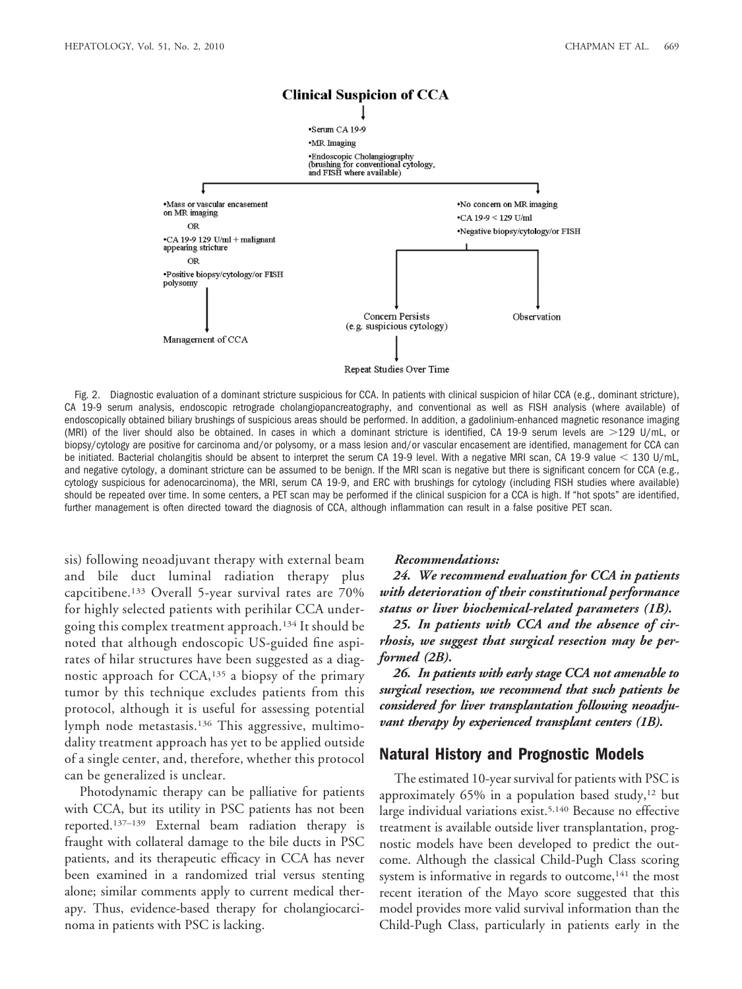

Fig. 2. Diagnostic evaluation of a dominant stricture suspicious for CCA. In patients with clinical suspicion of hilar CCA (e.g., dominant stricture), CA 19-9 serum analysis, endoscopic retrograde cholangiopancreatography, and conventional as well as FISH analysis (where available) of endoscopically obtained biliary brushings of suspicious areas should be performed. In addition, a gadolinium-enhanced magnetic resonance imaging (MRI) of the liver should also be obtained. In cases in which a dominant stricture is identified, CA 19-9 serum levels are >129 U/mL, or biopsy/cytology are positive for carcinoma and/or polysomy, or a mass lesion and/or vascular encasement are identified, management for CCA can be initiated. Bacterial cholangitis should be absent to interpret the serum CA 19-9 level. With a negative MRI scan, CA 19-9 value  $<$  130 U/mL, and negative cytology, a dominant stricture can be assumed to be benign. If the MRI scan is negative but there is significant concern for CCA (e.g., cytology suspicious for adenocarcinoma), the MRI, serum CA 19-9, and ERC with brushings for cytology (including FISH studies where available) should be repeated over time. In some centers, a PET scan may be performed if the clinical suspicion for a CCA is high. If "hot spots" are identified, further management is often directed toward the diagnosis of CCA, although inflammation can result in a false positive PET scan.

sis) following neoadjuvant therapy with external beam and bile duct luminal radiation therapy plus capcitibene.133 Overall 5-year survival rates are 70% for highly selected patients with perihilar CCA undergoing this complex treatment approach.134 It should be noted that although endoscopic US-guided fine aspirates of hilar structures have been suggested as a diagnostic approach for  $CCA$ ,<sup>135</sup> a biopsy of the primary tumor by this technique excludes patients from this protocol, although it is useful for assessing potential lymph node metastasis.136 This aggressive, multimodality treatment approach has yet to be applied outside of a single center, and, therefore, whether this protocol can be generalized is unclear.

Photodynamic therapy can be palliative for patients with CCA, but its utility in PSC patients has not been reported.137–139 External beam radiation therapy is fraught with collateral damage to the bile ducts in PSC patients, and its therapeutic efficacy in CCA has never been examined in a randomized trial versus stenting alone; similar comments apply to current medical therapy. Thus, evidence-based therapy for cholangiocarcinoma in patients with PSC is lacking.

#### *Recommendations:*

*24. We recommend evaluation for CCA in patients with deterioration of their constitutional performance status or liver biochemical-related parameters (1B).*

*25. In patients with CCA and the absence of cirrhosis, we suggest that surgical resection may be performed (2B).*

*26. In patients with early stage CCA not amenable to surgical resection, we recommend that such patients be considered for liver transplantation following neoadjuvant therapy by experienced transplant centers (1B).*

## **Natural History and Prognostic Models**

The estimated 10-year survival for patients with PSC is approximately  $65\%$  in a population based study,<sup>12</sup> but large individual variations exist.5,140 Because no effective treatment is available outside liver transplantation, prognostic models have been developed to predict the outcome. Although the classical Child-Pugh Class scoring system is informative in regards to outcome, $141$  the most recent iteration of the Mayo score suggested that this model provides more valid survival information than the Child-Pugh Class, particularly in patients early in the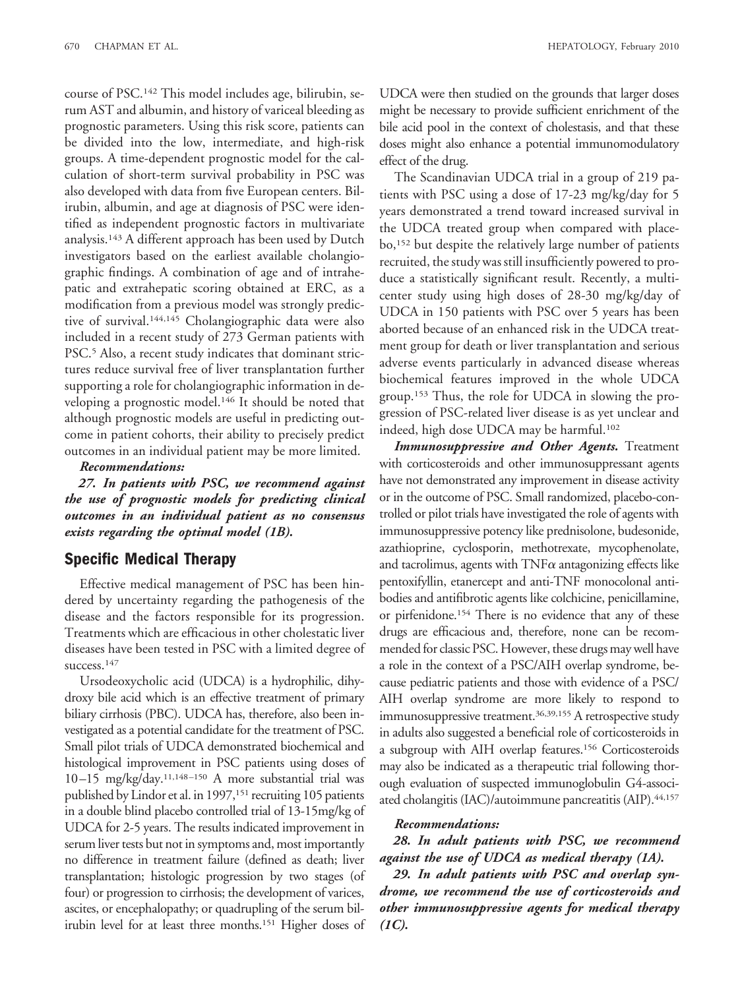670 CHAPMAN ET AL. **HEPATOLOGY, February 2010** 

course of PSC.142 This model includes age, bilirubin, serum AST and albumin, and history of variceal bleeding as prognostic parameters. Using this risk score, patients can be divided into the low, intermediate, and high-risk groups. A time-dependent prognostic model for the calculation of short-term survival probability in PSC was also developed with data from five European centers. Bilirubin, albumin, and age at diagnosis of PSC were identified as independent prognostic factors in multivariate analysis.143 A different approach has been used by Dutch investigators based on the earliest available cholangiographic findings. A combination of age and of intrahepatic and extrahepatic scoring obtained at ERC, as a modification from a previous model was strongly predictive of survival.144,145 Cholangiographic data were also included in a recent study of 273 German patients with PSC.<sup>5</sup> Also, a recent study indicates that dominant strictures reduce survival free of liver transplantation further supporting a role for cholangiographic information in developing a prognostic model.146 It should be noted that although prognostic models are useful in predicting outcome in patient cohorts, their ability to precisely predict outcomes in an individual patient may be more limited.

#### *Recommendations:*

*27. In patients with PSC, we recommend against the use of prognostic models for predicting clinical outcomes in an individual patient as no consensus exists regarding the optimal model (1B).*

# **Specific Medical Therapy**

Effective medical management of PSC has been hindered by uncertainty regarding the pathogenesis of the disease and the factors responsible for its progression. Treatments which are efficacious in other cholestatic liver diseases have been tested in PSC with a limited degree of success.<sup>147</sup>

Ursodeoxycholic acid (UDCA) is a hydrophilic, dihydroxy bile acid which is an effective treatment of primary biliary cirrhosis (PBC). UDCA has, therefore, also been investigated as a potential candidate for the treatment of PSC. Small pilot trials of UDCA demonstrated biochemical and histological improvement in PSC patients using doses of 10 –15 mg/kg/day.11,148 –150 A more substantial trial was published by Lindor et al. in 1997,<sup>151</sup> recruiting 105 patients in a double blind placebo controlled trial of 13-15mg/kg of UDCA for 2-5 years. The results indicated improvement in serum liver tests but not in symptoms and, most importantly no difference in treatment failure (defined as death; liver transplantation; histologic progression by two stages (of four) or progression to cirrhosis; the development of varices, ascites, or encephalopathy; or quadrupling of the serum bilirubin level for at least three months.151 Higher doses of UDCA were then studied on the grounds that larger doses might be necessary to provide sufficient enrichment of the bile acid pool in the context of cholestasis, and that these doses might also enhance a potential immunomodulatory effect of the drug.

The Scandinavian UDCA trial in a group of 219 patients with PSC using a dose of 17-23 mg/kg/day for 5 years demonstrated a trend toward increased survival in the UDCA treated group when compared with placebo,152 but despite the relatively large number of patients recruited, the study was still insufficiently powered to produce a statistically significant result. Recently, a multicenter study using high doses of 28-30 mg/kg/day of UDCA in 150 patients with PSC over 5 years has been aborted because of an enhanced risk in the UDCA treatment group for death or liver transplantation and serious adverse events particularly in advanced disease whereas biochemical features improved in the whole UDCA group.153 Thus, the role for UDCA in slowing the progression of PSC-related liver disease is as yet unclear and indeed, high dose UDCA may be harmful.102

*Immunosuppressive and Other Agents.* Treatment with corticosteroids and other immunosuppressant agents have not demonstrated any improvement in disease activity or in the outcome of PSC. Small randomized, placebo-controlled or pilot trials have investigated the role of agents with immunosuppressive potency like prednisolone, budesonide, azathioprine, cyclosporin, methotrexate, mycophenolate, and tacrolimus, agents with  $TNF\alpha$  antagonizing effects like pentoxifyllin, etanercept and anti-TNF monocolonal antibodies and antifibrotic agents like colchicine, penicillamine, or pirfenidone.154 There is no evidence that any of these drugs are efficacious and, therefore, none can be recommended for classic PSC. However, these drugs may well have a role in the context of a PSC/AIH overlap syndrome, because pediatric patients and those with evidence of a PSC/ AIH overlap syndrome are more likely to respond to immunosuppressive treatment.<sup>36,39,155</sup> A retrospective study in adults also suggested a beneficial role of corticosteroids in a subgroup with AIH overlap features.156 Corticosteroids may also be indicated as a therapeutic trial following thorough evaluation of suspected immunoglobulin G4-associated cholangitis (IAC)/autoimmune pancreatitis (AIP).<sup>44,157</sup>

# *Recommendations:*

*28. In adult patients with PSC, we recommend against the use of UDCA as medical therapy (1A).*

*29. In adult patients with PSC and overlap syndrome, we recommend the use of corticosteroids and other immunosuppressive agents for medical therapy (1C).*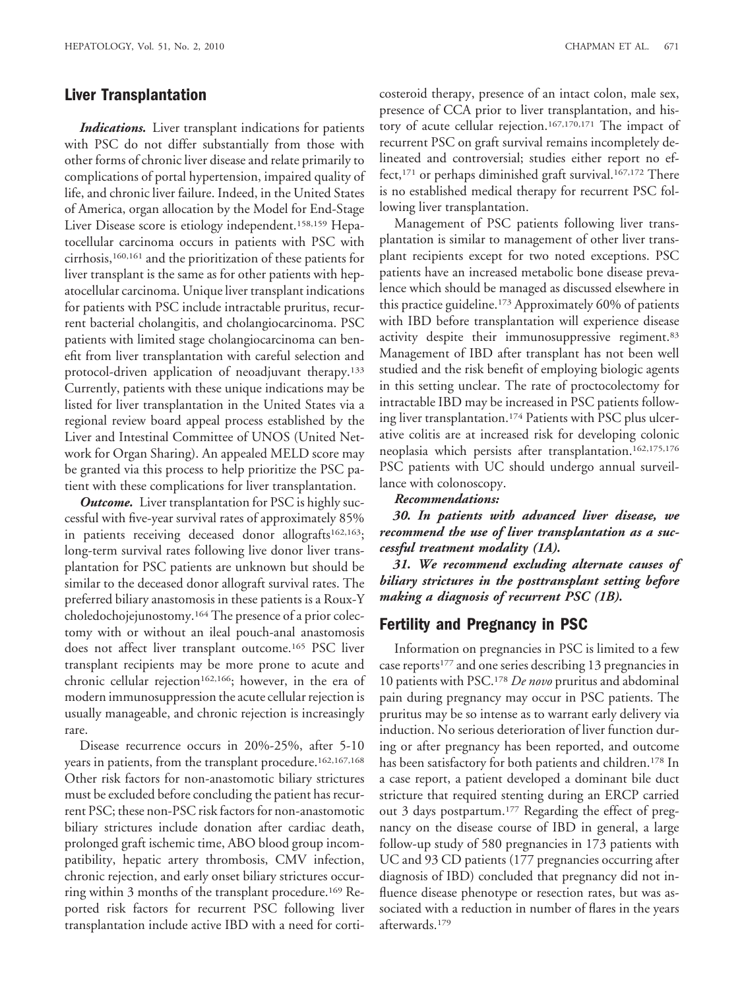# **Liver Transplantation**

*Indications.* Liver transplant indications for patients with PSC do not differ substantially from those with other forms of chronic liver disease and relate primarily to complications of portal hypertension, impaired quality of life, and chronic liver failure. Indeed, in the United States of America, organ allocation by the Model for End-Stage Liver Disease score is etiology independent.<sup>158,159</sup> Hepatocellular carcinoma occurs in patients with PSC with cirrhosis,160,161 and the prioritization of these patients for liver transplant is the same as for other patients with hepatocellular carcinoma. Unique liver transplant indications for patients with PSC include intractable pruritus, recurrent bacterial cholangitis, and cholangiocarcinoma. PSC patients with limited stage cholangiocarcinoma can benefit from liver transplantation with careful selection and protocol-driven application of neoadjuvant therapy.133 Currently, patients with these unique indications may be listed for liver transplantation in the United States via a regional review board appeal process established by the Liver and Intestinal Committee of UNOS (United Network for Organ Sharing). An appealed MELD score may be granted via this process to help prioritize the PSC patient with these complications for liver transplantation.

*Outcome.* Liver transplantation for PSC is highly successful with five-year survival rates of approximately 85% in patients receiving deceased donor allografts<sup>162,163</sup>; long-term survival rates following live donor liver transplantation for PSC patients are unknown but should be similar to the deceased donor allograft survival rates. The preferred biliary anastomosis in these patients is a Roux-Y choledochojejunostomy.164 The presence of a prior colectomy with or without an ileal pouch-anal anastomosis does not affect liver transplant outcome.165 PSC liver transplant recipients may be more prone to acute and chronic cellular rejection<sup>162,166</sup>; however, in the era of modern immunosuppression the acute cellular rejection is usually manageable, and chronic rejection is increasingly rare.

Disease recurrence occurs in 20%-25%, after 5-10 years in patients, from the transplant procedure.<sup>162,167,168</sup> Other risk factors for non-anastomotic biliary strictures must be excluded before concluding the patient has recurrent PSC; these non-PSC risk factors for non-anastomotic biliary strictures include donation after cardiac death, prolonged graft ischemic time, ABO blood group incompatibility, hepatic artery thrombosis, CMV infection, chronic rejection, and early onset biliary strictures occurring within 3 months of the transplant procedure.<sup>169</sup> Reported risk factors for recurrent PSC following liver transplantation include active IBD with a need for corticosteroid therapy, presence of an intact colon, male sex, presence of CCA prior to liver transplantation, and history of acute cellular rejection.167,170,171 The impact of recurrent PSC on graft survival remains incompletely delineated and controversial; studies either report no effect,<sup>171</sup> or perhaps diminished graft survival.<sup>167,172</sup> There is no established medical therapy for recurrent PSC following liver transplantation.

Management of PSC patients following liver transplantation is similar to management of other liver transplant recipients except for two noted exceptions. PSC patients have an increased metabolic bone disease prevalence which should be managed as discussed elsewhere in this practice guideline.173 Approximately 60% of patients with IBD before transplantation will experience disease activity despite their immunosuppressive regiment.<sup>83</sup> Management of IBD after transplant has not been well studied and the risk benefit of employing biologic agents in this setting unclear. The rate of proctocolectomy for intractable IBD may be increased in PSC patients following liver transplantation.174 Patients with PSC plus ulcerative colitis are at increased risk for developing colonic neoplasia which persists after transplantation.162,175,176 PSC patients with UC should undergo annual surveillance with colonoscopy.

#### *Recommendations:*

*30. In patients with advanced liver disease, we recommend the use of liver transplantation as a successful treatment modality (1A).*

*31. We recommend excluding alternate causes of biliary strictures in the posttransplant setting before making a diagnosis of recurrent PSC (1B).*

# **Fertility and Pregnancy in PSC**

Information on pregnancies in PSC is limited to a few case reports177 and one series describing 13 pregnancies in 10 patients with PSC.178 *De novo* pruritus and abdominal pain during pregnancy may occur in PSC patients. The pruritus may be so intense as to warrant early delivery via induction. No serious deterioration of liver function during or after pregnancy has been reported, and outcome has been satisfactory for both patients and children.<sup>178</sup> In a case report, a patient developed a dominant bile duct stricture that required stenting during an ERCP carried out 3 days postpartum.177 Regarding the effect of pregnancy on the disease course of IBD in general, a large follow-up study of 580 pregnancies in 173 patients with UC and 93 CD patients (177 pregnancies occurring after diagnosis of IBD) concluded that pregnancy did not influence disease phenotype or resection rates, but was associated with a reduction in number of flares in the years afterwards.179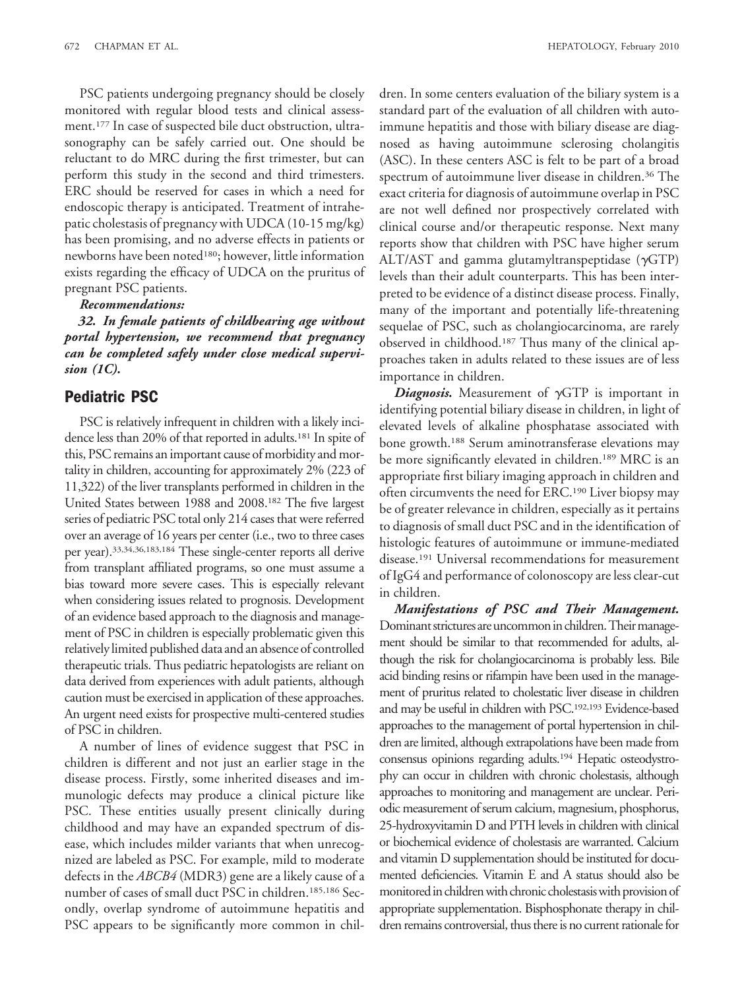PSC patients undergoing pregnancy should be closely monitored with regular blood tests and clinical assessment.177 In case of suspected bile duct obstruction, ultrasonography can be safely carried out. One should be reluctant to do MRC during the first trimester, but can perform this study in the second and third trimesters. ERC should be reserved for cases in which a need for endoscopic therapy is anticipated. Treatment of intrahepatic cholestasis of pregnancy with UDCA (10-15 mg/kg) has been promising, and no adverse effects in patients or newborns have been noted<sup>180</sup>; however, little information exists regarding the efficacy of UDCA on the pruritus of pregnant PSC patients.

# *Recommendations:*

*32. In female patients of childbearing age without portal hypertension, we recommend that pregnancy can be completed safely under close medical supervision (1C).*

# **Pediatric PSC**

PSC is relatively infrequent in children with a likely incidence less than 20% of that reported in adults.<sup>181</sup> In spite of this, PSC remains an important cause of morbidity and mortality in children, accounting for approximately 2% (223 of 11,322) of the liver transplants performed in children in the United States between 1988 and 2008.182 The five largest series of pediatric PSC total only 214 cases that were referred over an average of 16 years per center (i.e., two to three cases per year).33,34,36,183,184 These single-center reports all derive from transplant affiliated programs, so one must assume a bias toward more severe cases. This is especially relevant when considering issues related to prognosis. Development of an evidence based approach to the diagnosis and management of PSC in children is especially problematic given this relatively limited published data and an absence of controlled therapeutic trials. Thus pediatric hepatologists are reliant on data derived from experiences with adult patients, although caution must be exercised in application of these approaches. An urgent need exists for prospective multi-centered studies of PSC in children.

A number of lines of evidence suggest that PSC in children is different and not just an earlier stage in the disease process. Firstly, some inherited diseases and immunologic defects may produce a clinical picture like PSC. These entities usually present clinically during childhood and may have an expanded spectrum of disease, which includes milder variants that when unrecognized are labeled as PSC. For example, mild to moderate defects in the *ABCB4* (MDR3) gene are a likely cause of a number of cases of small duct PSC in children.185,186 Secondly, overlap syndrome of autoimmune hepatitis and PSC appears to be significantly more common in children. In some centers evaluation of the biliary system is a standard part of the evaluation of all children with autoimmune hepatitis and those with biliary disease are diagnosed as having autoimmune sclerosing cholangitis (ASC). In these centers ASC is felt to be part of a broad spectrum of autoimmune liver disease in children.<sup>36</sup> The exact criteria for diagnosis of autoimmune overlap in PSC are not well defined nor prospectively correlated with clinical course and/or therapeutic response. Next many reports show that children with PSC have higher serum  $ALT/AST$  and gamma glutamyltranspeptidase ( $\gamma GTP$ ) levels than their adult counterparts. This has been interpreted to be evidence of a distinct disease process. Finally, many of the important and potentially life-threatening sequelae of PSC, such as cholangiocarcinoma, are rarely observed in childhood.187 Thus many of the clinical approaches taken in adults related to these issues are of less importance in children.

**Diagnosis.** Measurement of  $\gamma$ GTP is important in identifying potential biliary disease in children, in light of elevated levels of alkaline phosphatase associated with bone growth.188 Serum aminotransferase elevations may be more significantly elevated in children.<sup>189</sup> MRC is an appropriate first biliary imaging approach in children and often circumvents the need for ERC.190 Liver biopsy may be of greater relevance in children, especially as it pertains to diagnosis of small duct PSC and in the identification of histologic features of autoimmune or immune-mediated disease.191 Universal recommendations for measurement of IgG4 and performance of colonoscopy are less clear-cut in children.

*Manifestations of PSC and Their Management.* Dominant strictures are uncommon in children. Their management should be similar to that recommended for adults, although the risk for cholangiocarcinoma is probably less. Bile acid binding resins or rifampin have been used in the management of pruritus related to cholestatic liver disease in children and may be useful in children with PSC.192,193 Evidence-based approaches to the management of portal hypertension in children are limited, although extrapolations have been made from consensus opinions regarding adults.194 Hepatic osteodystrophy can occur in children with chronic cholestasis, although approaches to monitoring and management are unclear. Periodic measurement of serum calcium, magnesium, phosphorus, 25-hydroxyvitamin D and PTH levels in children with clinical or biochemical evidence of cholestasis are warranted. Calcium and vitamin D supplementation should be instituted for documented deficiencies. Vitamin E and A status should also be monitored in children with chronic cholestasis with provision of appropriate supplementation. Bisphosphonate therapy in children remains controversial, thus there is no current rationale for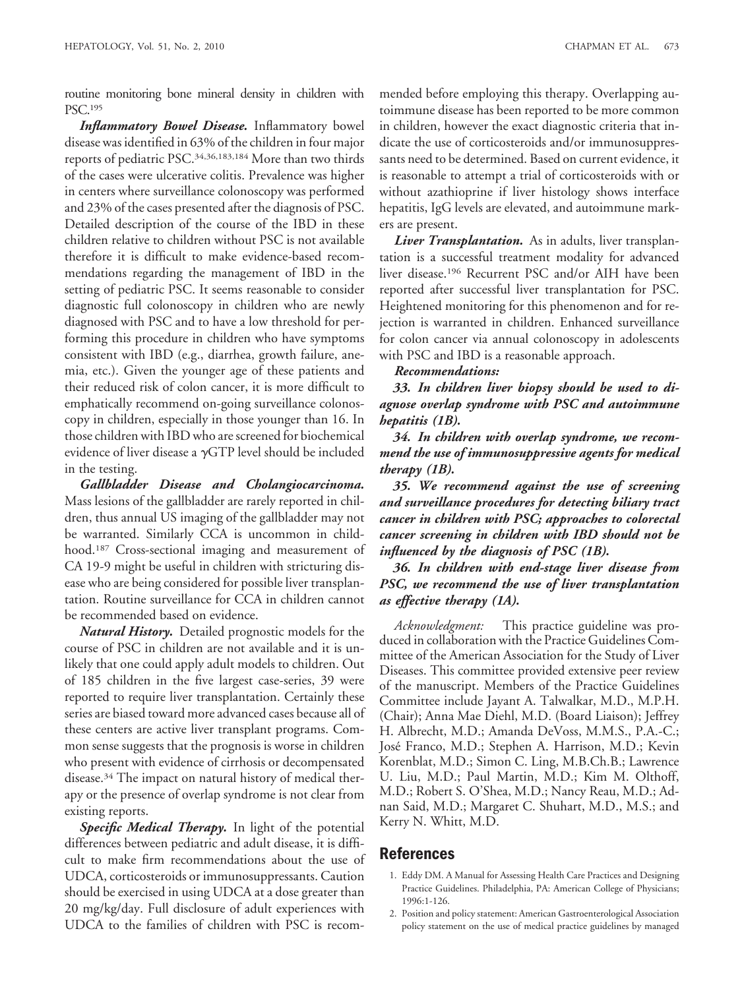routine monitoring bone mineral density in children with PSC.195

*Inflammatory Bowel Disease.* Inflammatory bowel disease was identified in 63% of the children in four major reports of pediatric PSC.34,36,183,184 More than two thirds of the cases were ulcerative colitis. Prevalence was higher in centers where surveillance colonoscopy was performed and 23% of the cases presented after the diagnosis of PSC. Detailed description of the course of the IBD in these children relative to children without PSC is not available therefore it is difficult to make evidence-based recommendations regarding the management of IBD in the setting of pediatric PSC. It seems reasonable to consider diagnostic full colonoscopy in children who are newly diagnosed with PSC and to have a low threshold for performing this procedure in children who have symptoms consistent with IBD (e.g., diarrhea, growth failure, anemia, etc.). Given the younger age of these patients and their reduced risk of colon cancer, it is more difficult to emphatically recommend on-going surveillance colonoscopy in children, especially in those younger than 16. In those children with IBD who are screened for biochemical evidence of liver disease a  $\gamma$ GTP level should be included in the testing.

*Gallbladder Disease and Cholangiocarcinoma.* Mass lesions of the gallbladder are rarely reported in children, thus annual US imaging of the gallbladder may not be warranted. Similarly CCA is uncommon in childhood.<sup>187</sup> Cross-sectional imaging and measurement of CA 19-9 might be useful in children with stricturing disease who are being considered for possible liver transplantation. Routine surveillance for CCA in children cannot be recommended based on evidence.

*Natural History.* Detailed prognostic models for the course of PSC in children are not available and it is unlikely that one could apply adult models to children. Out of 185 children in the five largest case-series, 39 were reported to require liver transplantation. Certainly these series are biased toward more advanced cases because all of these centers are active liver transplant programs. Common sense suggests that the prognosis is worse in children who present with evidence of cirrhosis or decompensated disease.34 The impact on natural history of medical therapy or the presence of overlap syndrome is not clear from existing reports.

*Specific Medical Therapy.* In light of the potential differences between pediatric and adult disease, it is difficult to make firm recommendations about the use of UDCA, corticosteroids or immunosuppressants. Caution should be exercised in using UDCA at a dose greater than 20 mg/kg/day. Full disclosure of adult experiences with UDCA to the families of children with PSC is recommended before employing this therapy. Overlapping autoimmune disease has been reported to be more common in children, however the exact diagnostic criteria that indicate the use of corticosteroids and/or immunosuppressants need to be determined. Based on current evidence, it is reasonable to attempt a trial of corticosteroids with or without azathioprine if liver histology shows interface hepatitis, IgG levels are elevated, and autoimmune markers are present.

*Liver Transplantation.* As in adults, liver transplantation is a successful treatment modality for advanced liver disease.196 Recurrent PSC and/or AIH have been reported after successful liver transplantation for PSC. Heightened monitoring for this phenomenon and for rejection is warranted in children. Enhanced surveillance for colon cancer via annual colonoscopy in adolescents with PSC and IBD is a reasonable approach.

#### *Recommendations:*

*33. In children liver biopsy should be used to diagnose overlap syndrome with PSC and autoimmune hepatitis (1B).*

*34. In children with overlap syndrome, we recommend the use of immunosuppressive agents for medical therapy (1B).*

*35. We recommend against the use of screening and surveillance procedures for detecting biliary tract cancer in children with PSC; approaches to colorectal cancer screening in children with IBD should not be influenced by the diagnosis of PSC (1B).*

*36. In children with end-stage liver disease from PSC, we recommend the use of liver transplantation as effective therapy (1A).*

*Acknowledgment:* This practice guideline was produced in collaboration with the Practice Guidelines Committee of the American Association for the Study of Liver Diseases. This committee provided extensive peer review of the manuscript. Members of the Practice Guidelines Committee include Jayant A. Talwalkar, M.D., M.P.H. (Chair); Anna Mae Diehl, M.D. (Board Liaison); Jeffrey H. Albrecht, M.D.; Amanda DeVoss, M.M.S., P.A.-C.; José Franco, M.D.; Stephen A. Harrison, M.D.; Kevin Korenblat, M.D.; Simon C. Ling, M.B.Ch.B.; Lawrence U. Liu, M.D.; Paul Martin, M.D.; Kim M. Olthoff, M.D.; Robert S. O'Shea, M.D.; Nancy Reau, M.D.; Adnan Said, M.D.; Margaret C. Shuhart, M.D., M.S.; and Kerry N. Whitt, M.D.

# **References**

- 1. Eddy DM. A Manual for Assessing Health Care Practices and Designing Practice Guidelines. Philadelphia, PA: American College of Physicians; 1996:1-126.
- 2. Position and policy statement: American Gastroenterological Association policy statement on the use of medical practice guidelines by managed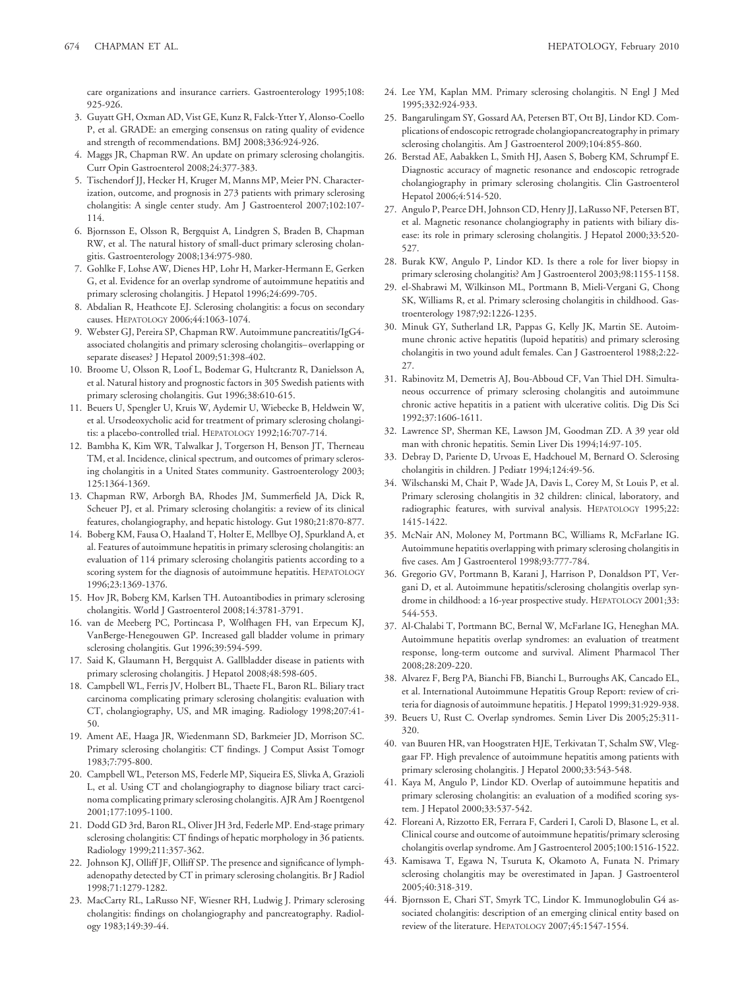care organizations and insurance carriers. Gastroenterology 1995;108: 925-926.

- 3. Guyatt GH, Oxman AD, Vist GE, Kunz R, Falck-Ytter Y, Alonso-Coello P, et al. GRADE: an emerging consensus on rating quality of evidence and strength of recommendations. BMJ 2008;336:924-926.
- 4. Maggs JR, Chapman RW. An update on primary sclerosing cholangitis. Curr Opin Gastroenterol 2008;24:377-383.
- 5. Tischendorf JJ, Hecker H, Kruger M, Manns MP, Meier PN. Characterization, outcome, and prognosis in 273 patients with primary sclerosing cholangitis: A single center study. Am J Gastroenterol 2007;102:107- 114.
- 6. Bjornsson E, Olsson R, Bergquist A, Lindgren S, Braden B, Chapman RW, et al. The natural history of small-duct primary sclerosing cholangitis. Gastroenterology 2008;134:975-980.
- 7. Gohlke F, Lohse AW, Dienes HP, Lohr H, Marker-Hermann E, Gerken G, et al. Evidence for an overlap syndrome of autoimmune hepatitis and primary sclerosing cholangitis. J Hepatol 1996;24:699-705.
- 8. Abdalian R, Heathcote EJ. Sclerosing cholangitis: a focus on secondary causes. HEPATOLOGY 2006;44:1063-1074.
- 9. Webster GJ, Pereira SP, Chapman RW. Autoimmune pancreatitis/IgG4 associated cholangitis and primary sclerosing cholangitis–overlapping or separate diseases? J Hepatol 2009;51:398-402.
- 10. Broome U, Olsson R, Loof L, Bodemar G, Hultcrantz R, Danielsson A, et al. Natural history and prognostic factors in 305 Swedish patients with primary sclerosing cholangitis. Gut 1996;38:610-615.
- 11. Beuers U, Spengler U, Kruis W, Aydemir U, Wiebecke B, Heldwein W, et al. Ursodeoxycholic acid for treatment of primary sclerosing cholangitis: a placebo-controlled trial. HEPATOLOGY 1992;16:707-714.
- 12. Bambha K, Kim WR, Talwalkar J, Torgerson H, Benson JT, Therneau TM, et al. Incidence, clinical spectrum, and outcomes of primary sclerosing cholangitis in a United States community. Gastroenterology 2003; 125:1364-1369.
- 13. Chapman RW, Arborgh BA, Rhodes JM, Summerfield JA, Dick R, Scheuer PJ, et al. Primary sclerosing cholangitis: a review of its clinical features, cholangiography, and hepatic histology. Gut 1980;21:870-877.
- 14. Boberg KM, Fausa O, Haaland T, Holter E, Mellbye OJ, Spurkland A, et al. Features of autoimmune hepatitis in primary sclerosing cholangitis: an evaluation of 114 primary sclerosing cholangitis patients according to a scoring system for the diagnosis of autoimmune hepatitis. HEPATOLOGY 1996;23:1369-1376.
- 15. Hov JR, Boberg KM, Karlsen TH. Autoantibodies in primary sclerosing cholangitis. World J Gastroenterol 2008;14:3781-3791.
- 16. van de Meeberg PC, Portincasa P, Wolfhagen FH, van Erpecum KJ, VanBerge-Henegouwen GP. Increased gall bladder volume in primary sclerosing cholangitis. Gut 1996;39:594-599.
- 17. Said K, Glaumann H, Bergquist A. Gallbladder disease in patients with primary sclerosing cholangitis. J Hepatol 2008;48:598-605.
- 18. Campbell WL, Ferris JV, Holbert BL, Thaete FL, Baron RL. Biliary tract carcinoma complicating primary sclerosing cholangitis: evaluation with CT, cholangiography, US, and MR imaging. Radiology 1998;207:41- 50.
- 19. Ament AE, Haaga JR, Wiedenmann SD, Barkmeier JD, Morrison SC. Primary sclerosing cholangitis: CT findings. J Comput Assist Tomogr 1983;7:795-800.
- 20. Campbell WL, Peterson MS, Federle MP, Siqueira ES, Slivka A, Grazioli L, et al. Using CT and cholangiography to diagnose biliary tract carcinoma complicating primary sclerosing cholangitis. AJR Am J Roentgenol 2001;177:1095-1100.
- 21. Dodd GD 3rd, Baron RL, Oliver JH 3rd, Federle MP. End-stage primary sclerosing cholangitis: CT findings of hepatic morphology in 36 patients. Radiology 1999;211:357-362.
- 22. Johnson KJ, Olliff JF, Olliff SP. The presence and significance of lymphadenopathy detected by CT in primary sclerosing cholangitis. Br J Radiol 1998;71:1279-1282.
- 23. MacCarty RL, LaRusso NF, Wiesner RH, Ludwig J. Primary sclerosing cholangitis: findings on cholangiography and pancreatography. Radiology 1983;149:39-44.
- 24. Lee YM, Kaplan MM. Primary sclerosing cholangitis. N Engl J Med 1995;332:924-933.
- 25. Bangarulingam SY, Gossard AA, Petersen BT, Ott BJ, Lindor KD. Complications of endoscopic retrograde cholangiopancreatography in primary sclerosing cholangitis. Am J Gastroenterol 2009;104:855-860.
- 26. Berstad AE, Aabakken L, Smith HJ, Aasen S, Boberg KM, Schrumpf E. Diagnostic accuracy of magnetic resonance and endoscopic retrograde cholangiography in primary sclerosing cholangitis. Clin Gastroenterol Hepatol 2006;4:514-520.
- 27. Angulo P, Pearce DH, Johnson CD, Henry JJ, LaRusso NF, Petersen BT, et al. Magnetic resonance cholangiography in patients with biliary disease: its role in primary sclerosing cholangitis. J Hepatol 2000;33:520- 527.
- 28. Burak KW, Angulo P, Lindor KD. Is there a role for liver biopsy in primary sclerosing cholangitis? Am J Gastroenterol 2003;98:1155-1158.
- 29. el-Shabrawi M, Wilkinson ML, Portmann B, Mieli-Vergani G, Chong SK, Williams R, et al. Primary sclerosing cholangitis in childhood. Gastroenterology 1987;92:1226-1235.
- 30. Minuk GY, Sutherland LR, Pappas G, Kelly JK, Martin SE. Autoimmune chronic active hepatitis (lupoid hepatitis) and primary sclerosing cholangitis in two yound adult females. Can J Gastroenterol 1988;2:22- 27.
- 31. Rabinovitz M, Demetris AJ, Bou-Abboud CF, Van Thiel DH. Simultaneous occurrence of primary sclerosing cholangitis and autoimmune chronic active hepatitis in a patient with ulcerative colitis. Dig Dis Sci 1992;37:1606-1611.
- 32. Lawrence SP, Sherman KE, Lawson JM, Goodman ZD. A 39 year old man with chronic hepatitis. Semin Liver Dis 1994;14:97-105.
- 33. Debray D, Pariente D, Urvoas E, Hadchouel M, Bernard O. Sclerosing cholangitis in children. J Pediatr 1994;124:49-56.
- 34. Wilschanski M, Chait P, Wade JA, Davis L, Corey M, St Louis P, et al. Primary sclerosing cholangitis in 32 children: clinical, laboratory, and radiographic features, with survival analysis. HEPATOLOGY 1995;22: 1415-1422.
- 35. McNair AN, Moloney M, Portmann BC, Williams R, McFarlane IG. Autoimmune hepatitis overlapping with primary sclerosing cholangitis in five cases. Am J Gastroenterol 1998;93:777-784.
- 36. Gregorio GV, Portmann B, Karani J, Harrison P, Donaldson PT, Vergani D, et al. Autoimmune hepatitis/sclerosing cholangitis overlap syndrome in childhood: a 16-year prospective study. HEPATOLOGY 2001;33: 544-553.
- 37. Al-Chalabi T, Portmann BC, Bernal W, McFarlane IG, Heneghan MA. Autoimmune hepatitis overlap syndromes: an evaluation of treatment response, long-term outcome and survival. Aliment Pharmacol Ther 2008;28:209-220.
- 38. Alvarez F, Berg PA, Bianchi FB, Bianchi L, Burroughs AK, Cancado EL, et al. International Autoimmune Hepatitis Group Report: review of criteria for diagnosis of autoimmune hepatitis. J Hepatol 1999;31:929-938.
- 39. Beuers U, Rust C. Overlap syndromes. Semin Liver Dis 2005;25:311- 320.
- 40. van Buuren HR, van Hoogstraten HJE, Terkivatan T, Schalm SW, Vleggaar FP. High prevalence of autoimmune hepatitis among patients with primary sclerosing cholangitis. J Hepatol 2000;33:543-548.
- 41. Kaya M, Angulo P, Lindor KD. Overlap of autoimmune hepatitis and primary sclerosing cholangitis: an evaluation of a modified scoring system. J Hepatol 2000;33:537-542.
- 42. Floreani A, Rizzotto ER, Ferrara F, Carderi I, Caroli D, Blasone L, et al. Clinical course and outcome of autoimmune hepatitis/primary sclerosing cholangitis overlap syndrome. Am J Gastroenterol 2005;100:1516-1522.
- 43. Kamisawa T, Egawa N, Tsuruta K, Okamoto A, Funata N. Primary sclerosing cholangitis may be overestimated in Japan. J Gastroenterol 2005;40:318-319.
- 44. Bjornsson E, Chari ST, Smyrk TC, Lindor K. Immunoglobulin G4 associated cholangitis: description of an emerging clinical entity based on review of the literature. HEPATOLOGY 2007;45:1547-1554.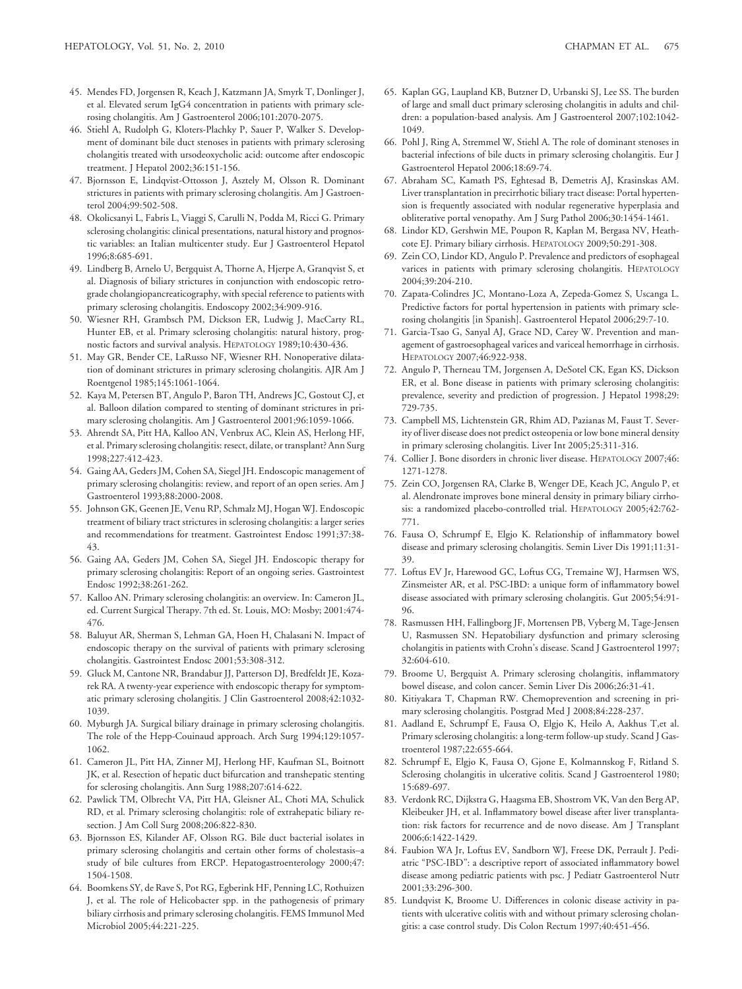- 45. Mendes FD, Jorgensen R, Keach J, Katzmann JA, Smyrk T, Donlinger J, et al. Elevated serum IgG4 concentration in patients with primary sclerosing cholangitis. Am J Gastroenterol 2006;101:2070-2075.
- 46. Stiehl A, Rudolph G, Kloters-Plachky P, Sauer P, Walker S. Development of dominant bile duct stenoses in patients with primary sclerosing cholangitis treated with ursodeoxycholic acid: outcome after endoscopic treatment. J Hepatol 2002;36:151-156.
- 47. Bjornsson E, Lindqvist-Ottosson J, Asztely M, Olsson R. Dominant strictures in patients with primary sclerosing cholangitis. Am J Gastroenterol 2004;99:502-508.
- 48. Okolicsanyi L, Fabris L, Viaggi S, Carulli N, Podda M, Ricci G. Primary sclerosing cholangitis: clinical presentations, natural history and prognostic variables: an Italian multicenter study. Eur J Gastroenterol Hepatol 1996;8:685-691.
- 49. Lindberg B, Arnelo U, Bergquist A, Thorne A, Hjerpe A, Granqvist S, et al. Diagnosis of biliary strictures in conjunction with endoscopic retrograde cholangiopancreaticography, with special reference to patients with primary sclerosing cholangitis. Endoscopy 2002;34:909-916.
- 50. Wiesner RH, Grambsch PM, Dickson ER, Ludwig J, MacCarty RL, Hunter EB, et al. Primary sclerosing cholangitis: natural history, prognostic factors and survival analysis. HEPATOLOGY 1989;10:430-436.
- 51. May GR, Bender CE, LaRusso NF, Wiesner RH. Nonoperative dilatation of dominant strictures in primary sclerosing cholangitis. AJR Am J Roentgenol 1985;145:1061-1064.
- 52. Kaya M, Petersen BT, Angulo P, Baron TH, Andrews JC, Gostout CJ, et al. Balloon dilation compared to stenting of dominant strictures in primary sclerosing cholangitis. Am J Gastroenterol 2001;96:1059-1066.
- 53. Ahrendt SA, Pitt HA, Kalloo AN, Venbrux AC, Klein AS, Herlong HF, et al. Primary sclerosing cholangitis: resect, dilate, or transplant? Ann Surg 1998;227:412-423.
- 54. Gaing AA, Geders JM, Cohen SA, Siegel JH. Endoscopic management of primary sclerosing cholangitis: review, and report of an open series. Am J Gastroenterol 1993;88:2000-2008.
- 55. Johnson GK, Geenen JE, Venu RP, Schmalz MJ, Hogan WJ. Endoscopic treatment of biliary tract strictures in sclerosing cholangitis: a larger series and recommendations for treatment. Gastrointest Endosc 1991;37:38- 43.
- 56. Gaing AA, Geders JM, Cohen SA, Siegel JH. Endoscopic therapy for primary sclerosing cholangitis: Report of an ongoing series. Gastrointest Endosc 1992;38:261-262.
- 57. Kalloo AN. Primary sclerosing cholangitis: an overview. In: Cameron JL, ed. Current Surgical Therapy. 7th ed. St. Louis, MO: Mosby; 2001:474- 476.
- 58. Baluyut AR, Sherman S, Lehman GA, Hoen H, Chalasani N. Impact of endoscopic therapy on the survival of patients with primary sclerosing cholangitis. Gastrointest Endosc 2001;53:308-312.
- 59. Gluck M, Cantone NR, Brandabur JJ, Patterson DJ, Bredfeldt JE, Kozarek RA. A twenty-year experience with endoscopic therapy for symptomatic primary sclerosing cholangitis. J Clin Gastroenterol 2008;42:1032- 1039.
- 60. Myburgh JA. Surgical biliary drainage in primary sclerosing cholangitis. The role of the Hepp-Couinaud approach. Arch Surg 1994;129:1057- 1062.
- 61. Cameron JL, Pitt HA, Zinner MJ, Herlong HF, Kaufman SL, Boitnott JK, et al. Resection of hepatic duct bifurcation and transhepatic stenting for sclerosing cholangitis. Ann Surg 1988;207:614-622.
- 62. Pawlick TM, Olbrecht VA, Pitt HA, Gleisner AL, Choti MA, Schulick RD, et al. Primary sclerosing cholangitis: role of extrahepatic biliary resection. J Am Coll Surg 2008;206:822-830.
- 63. Bjornsson ES, Kilander AF, Olsson RG. Bile duct bacterial isolates in primary sclerosing cholangitis and certain other forms of cholestasis–a study of bile cultures from ERCP. Hepatogastroenterology 2000;47: 1504-1508.
- 64. Boomkens SY, de Rave S, Pot RG, Egberink HF, Penning LC, Rothuizen J, et al. The role of Helicobacter spp. in the pathogenesis of primary biliary cirrhosis and primary sclerosing cholangitis. FEMS Immunol Med Microbiol 2005;44:221-225.
- 65. Kaplan GG, Laupland KB, Butzner D, Urbanski SJ, Lee SS. The burden of large and small duct primary sclerosing cholangitis in adults and children: a population-based analysis. Am J Gastroenterol 2007;102:1042- 1049.
- 66. Pohl J, Ring A, Stremmel W, Stiehl A. The role of dominant stenoses in bacterial infections of bile ducts in primary sclerosing cholangitis. Eur J Gastroenterol Hepatol 2006;18:69-74.
- 67. Abraham SC, Kamath PS, Eghtesad B, Demetris AJ, Krasinskas AM. Liver transplantation in precirrhotic biliary tract disease: Portal hypertension is frequently associated with nodular regenerative hyperplasia and obliterative portal venopathy. Am J Surg Pathol 2006;30:1454-1461.
- 68. Lindor KD, Gershwin ME, Poupon R, Kaplan M, Bergasa NV, Heathcote EJ. Primary biliary cirrhosis. HEPATOLOGY 2009;50:291-308.
- 69. Zein CO, Lindor KD, Angulo P. Prevalence and predictors of esophageal varices in patients with primary sclerosing cholangitis. HEPATOLOGY 2004;39:204-210.
- 70. Zapata-Colindres JC, Montano-Loza A, Zepeda-Gomez S, Uscanga L. Predictive factors for portal hypertension in patients with primary sclerosing cholangitis [in Spanish]. Gastroenterol Hepatol 2006;29:7-10.
- 71. Garcia-Tsao G, Sanyal AJ, Grace ND, Carey W. Prevention and management of gastroesophageal varices and variceal hemorrhage in cirrhosis. HEPATOLOGY 2007;46:922-938.
- 72. Angulo P, Therneau TM, Jorgensen A, DeSotel CK, Egan KS, Dickson ER, et al. Bone disease in patients with primary sclerosing cholangitis: prevalence, severity and prediction of progression. J Hepatol 1998;29: 729-735.
- 73. Campbell MS, Lichtenstein GR, Rhim AD, Pazianas M, Faust T. Severity of liver disease does not predict osteopenia or low bone mineral density in primary sclerosing cholangitis. Liver Int 2005;25:311-316.
- 74. Collier J. Bone disorders in chronic liver disease. HEPATOLOGY 2007;46: 1271-1278.
- 75. Zein CO, Jorgensen RA, Clarke B, Wenger DE, Keach JC, Angulo P, et al. Alendronate improves bone mineral density in primary biliary cirrhosis: a randomized placebo-controlled trial. HEPATOLOGY 2005;42:762- 771.
- 76. Fausa O, Schrumpf E, Elgjo K. Relationship of inflammatory bowel disease and primary sclerosing cholangitis. Semin Liver Dis 1991;11:31- 39.
- 77. Loftus EV Jr, Harewood GC, Loftus CG, Tremaine WJ, Harmsen WS, Zinsmeister AR, et al. PSC-IBD: a unique form of inflammatory bowel disease associated with primary sclerosing cholangitis. Gut 2005;54:91- 96.
- 78. Rasmussen HH, Fallingborg JF, Mortensen PB, Vyberg M, Tage-Jensen U, Rasmussen SN. Hepatobiliary dysfunction and primary sclerosing cholangitis in patients with Crohn's disease. Scand J Gastroenterol 1997; 32:604-610.
- 79. Broome U, Bergquist A. Primary sclerosing cholangitis, inflammatory bowel disease, and colon cancer. Semin Liver Dis 2006;26:31-41.
- 80. Kitiyakara T, Chapman RW. Chemoprevention and screening in primary sclerosing cholangitis. Postgrad Med J 2008;84:228-237.
- 81. Aadland E, Schrumpf E, Fausa O, Elgjo K, Heilo A, Aakhus T,et al. Primary sclerosing cholangitis: a long-term follow-up study. Scand J Gastroenterol 1987;22:655-664.
- 82. Schrumpf E, Elgjo K, Fausa O, Gjone E, Kolmannskog F, Ritland S. Sclerosing cholangitis in ulcerative colitis. Scand J Gastroenterol 1980; 15:689-697.
- 83. Verdonk RC, Dijkstra G, Haagsma EB, Shostrom VK, Van den Berg AP, Kleibeuker JH, et al. Inflammatory bowel disease after liver transplantation: risk factors for recurrence and de novo disease. Am J Transplant 2006;6:1422-1429.
- 84. Faubion WA Jr, Loftus EV, Sandborn WJ, Freese DK, Perrault J. Pediatric "PSC-IBD": a descriptive report of associated inflammatory bowel disease among pediatric patients with psc. J Pediatr Gastroenterol Nutr 2001;33:296-300.
- 85. Lundqvist K, Broome U. Differences in colonic disease activity in patients with ulcerative colitis with and without primary sclerosing cholangitis: a case control study. Dis Colon Rectum 1997;40:451-456.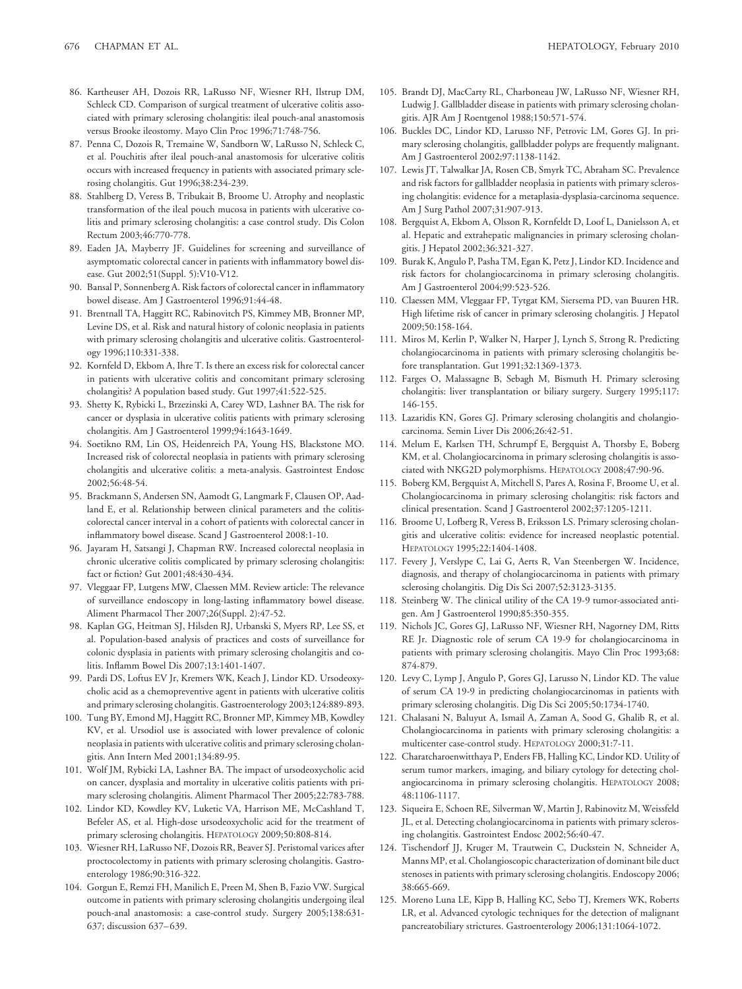- 86. Kartheuser AH, Dozois RR, LaRusso NF, Wiesner RH, Ilstrup DM, Schleck CD. Comparison of surgical treatment of ulcerative colitis associated with primary sclerosing cholangitis: ileal pouch-anal anastomosis versus Brooke ileostomy. Mayo Clin Proc 1996;71:748-756.
- 87. Penna C, Dozois R, Tremaine W, Sandborn W, LaRusso N, Schleck C, et al. Pouchitis after ileal pouch-anal anastomosis for ulcerative colitis occurs with increased frequency in patients with associated primary sclerosing cholangitis. Gut 1996;38:234-239.
- 88. Stahlberg D, Veress B, Tribukait B, Broome U. Atrophy and neoplastic transformation of the ileal pouch mucosa in patients with ulcerative colitis and primary sclerosing cholangitis: a case control study. Dis Colon Rectum 2003;46:770-778.
- 89. Eaden JA, Mayberry JF. Guidelines for screening and surveillance of asymptomatic colorectal cancer in patients with inflammatory bowel disease. Gut 2002;51(Suppl. 5):V10-V12.
- 90. Bansal P, Sonnenberg A. Risk factors of colorectal cancer in inflammatory bowel disease. Am J Gastroenterol 1996;91:44-48.
- 91. Brentnall TA, Haggitt RC, Rabinovitch PS, Kimmey MB, Bronner MP, Levine DS, et al. Risk and natural history of colonic neoplasia in patients with primary sclerosing cholangitis and ulcerative colitis. Gastroenterology 1996;110:331-338.
- 92. Kornfeld D, Ekbom A, Ihre T. Is there an excess risk for colorectal cancer in patients with ulcerative colitis and concomitant primary sclerosing cholangitis? A population based study. Gut 1997;41:522-525.
- 93. Shetty K, Rybicki L, Brzezinski A, Carey WD, Lashner BA. The risk for cancer or dysplasia in ulcerative colitis patients with primary sclerosing cholangitis. Am J Gastroenterol 1999;94:1643-1649.
- 94. Soetikno RM, Lin OS, Heidenreich PA, Young HS, Blackstone MO. Increased risk of colorectal neoplasia in patients with primary sclerosing cholangitis and ulcerative colitis: a meta-analysis. Gastrointest Endosc 2002;56:48-54.
- 95. Brackmann S, Andersen SN, Aamodt G, Langmark F, Clausen OP, Aadland E, et al. Relationship between clinical parameters and the colitiscolorectal cancer interval in a cohort of patients with colorectal cancer in inflammatory bowel disease. Scand J Gastroenterol 2008:1-10.
- 96. Jayaram H, Satsangi J, Chapman RW. Increased colorectal neoplasia in chronic ulcerative colitis complicated by primary sclerosing cholangitis: fact or fiction? Gut 2001;48:430-434.
- 97. Vleggaar FP, Lutgens MW, Claessen MM. Review article: The relevance of surveillance endoscopy in long-lasting inflammatory bowel disease. Aliment Pharmacol Ther 2007;26(Suppl. 2):47-52.
- 98. Kaplan GG, Heitman SJ, Hilsden RJ, Urbanski S, Myers RP, Lee SS, et al. Population-based analysis of practices and costs of surveillance for colonic dysplasia in patients with primary sclerosing cholangitis and colitis. Inflamm Bowel Dis 2007;13:1401-1407.
- 99. Pardi DS, Loftus EV Jr, Kremers WK, Keach J, Lindor KD. Ursodeoxycholic acid as a chemopreventive agent in patients with ulcerative colitis and primary sclerosing cholangitis. Gastroenterology 2003;124:889-893.
- 100. Tung BY, Emond MJ, Haggitt RC, Bronner MP, Kimmey MB, Kowdley KV, et al. Ursodiol use is associated with lower prevalence of colonic neoplasia in patients with ulcerative colitis and primary sclerosing cholangitis. Ann Intern Med 2001;134:89-95.
- 101. Wolf JM, Rybicki LA, Lashner BA. The impact of ursodeoxycholic acid on cancer, dysplasia and mortality in ulcerative colitis patients with primary sclerosing cholangitis. Aliment Pharmacol Ther 2005;22:783-788.
- 102. Lindor KD, Kowdley KV, Luketic VA, Harrison ME, McCashland T, Befeler AS, et al. High-dose ursodeoxycholic acid for the treatment of primary sclerosing cholangitis. HEPATOLOGY 2009;50:808-814.
- 103. Wiesner RH, LaRusso NF, Dozois RR, Beaver SJ. Peristomal varices after proctocolectomy in patients with primary sclerosing cholangitis. Gastroenterology 1986;90:316-322.
- 104. Gorgun E, Remzi FH, Manilich E, Preen M, Shen B, Fazio VW. Surgical outcome in patients with primary sclerosing cholangitis undergoing ileal pouch-anal anastomosis: a case-control study. Surgery 2005;138:631- 637; discussion 637– 639.
- 105. Brandt DJ, MacCarty RL, Charboneau JW, LaRusso NF, Wiesner RH, Ludwig J. Gallbladder disease in patients with primary sclerosing cholangitis. AJR Am J Roentgenol 1988;150:571-574.
- 106. Buckles DC, Lindor KD, Larusso NF, Petrovic LM, Gores GJ. In primary sclerosing cholangitis, gallbladder polyps are frequently malignant. Am J Gastroenterol 2002;97:1138-1142.
- 107. Lewis JT, Talwalkar JA, Rosen CB, Smyrk TC, Abraham SC. Prevalence and risk factors for gallbladder neoplasia in patients with primary sclerosing cholangitis: evidence for a metaplasia-dysplasia-carcinoma sequence. Am J Surg Pathol 2007;31:907-913.
- 108. Bergquist A, Ekbom A, Olsson R, Kornfeldt D, Loof L, Danielsson A, et al. Hepatic and extrahepatic malignancies in primary sclerosing cholangitis. J Hepatol 2002;36:321-327.
- 109. Burak K, Angulo P, Pasha TM, Egan K, Petz J, Lindor KD. Incidence and risk factors for cholangiocarcinoma in primary sclerosing cholangitis. Am J Gastroenterol 2004;99:523-526.
- 110. Claessen MM, Vleggaar FP, Tytgat KM, Siersema PD, van Buuren HR. High lifetime risk of cancer in primary sclerosing cholangitis. J Hepatol 2009;50:158-164.
- 111. Miros M, Kerlin P, Walker N, Harper J, Lynch S, Strong R. Predicting cholangiocarcinoma in patients with primary sclerosing cholangitis before transplantation. Gut 1991;32:1369-1373.
- 112. Farges O, Malassagne B, Sebagh M, Bismuth H. Primary sclerosing cholangitis: liver transplantation or biliary surgery. Surgery 1995;117: 146-155.
- 113. Lazaridis KN, Gores GJ. Primary sclerosing cholangitis and cholangiocarcinoma. Semin Liver Dis 2006;26:42-51.
- 114. Melum E, Karlsen TH, Schrumpf E, Bergquist A, Thorsby E, Boberg KM, et al. Cholangiocarcinoma in primary sclerosing cholangitis is associated with NKG2D polymorphisms. HEPATOLOGY 2008;47:90-96.
- 115. Boberg KM, Bergquist A, Mitchell S, Pares A, Rosina F, Broome U, et al. Cholangiocarcinoma in primary sclerosing cholangitis: risk factors and clinical presentation. Scand J Gastroenterol 2002;37:1205-1211.
- 116. Broome U, Lofberg R, Veress B, Eriksson LS. Primary sclerosing cholangitis and ulcerative colitis: evidence for increased neoplastic potential. HEPATOLOGY 1995;22:1404-1408.
- 117. Fevery J, Verslype C, Lai G, Aerts R, Van Steenbergen W. Incidence, diagnosis, and therapy of cholangiocarcinoma in patients with primary sclerosing cholangitis. Dig Dis Sci 2007;52:3123-3135.
- 118. Steinberg W. The clinical utility of the CA 19-9 tumor-associated antigen. Am J Gastroenterol 1990;85:350-355.
- 119. Nichols JC, Gores GJ, LaRusso NF, Wiesner RH, Nagorney DM, Ritts RE Jr. Diagnostic role of serum CA 19-9 for cholangiocarcinoma in patients with primary sclerosing cholangitis. Mayo Clin Proc 1993;68: 874-879.
- 120. Levy C, Lymp J, Angulo P, Gores GJ, Larusso N, Lindor KD. The value of serum CA 19-9 in predicting cholangiocarcinomas in patients with primary sclerosing cholangitis. Dig Dis Sci 2005;50:1734-1740.
- 121. Chalasani N, Baluyut A, Ismail A, Zaman A, Sood G, Ghalib R, et al. Cholangiocarcinoma in patients with primary sclerosing cholangitis: a multicenter case-control study. HEPATOLOGY 2000;31:7-11.
- 122. Charatcharoenwitthaya P, Enders FB, Halling KC, Lindor KD. Utility of serum tumor markers, imaging, and biliary cytology for detecting cholangiocarcinoma in primary sclerosing cholangitis. HEPATOLOGY 2008; 48:1106-1117.
- 123. Siqueira E, Schoen RE, Silverman W, Martin J, Rabinovitz M, Weissfeld JL, et al. Detecting cholangiocarcinoma in patients with primary sclerosing cholangitis. Gastrointest Endosc 2002;56:40-47.
- 124. Tischendorf JJ, Kruger M, Trautwein C, Duckstein N, Schneider A, Manns MP, et al. Cholangioscopic characterization of dominant bile duct stenoses in patients with primary sclerosing cholangitis. Endoscopy 2006; 38:665-669.
- 125. Moreno Luna LE, Kipp B, Halling KC, Sebo TJ, Kremers WK, Roberts LR, et al. Advanced cytologic techniques for the detection of malignant pancreatobiliary strictures. Gastroenterology 2006;131:1064-1072.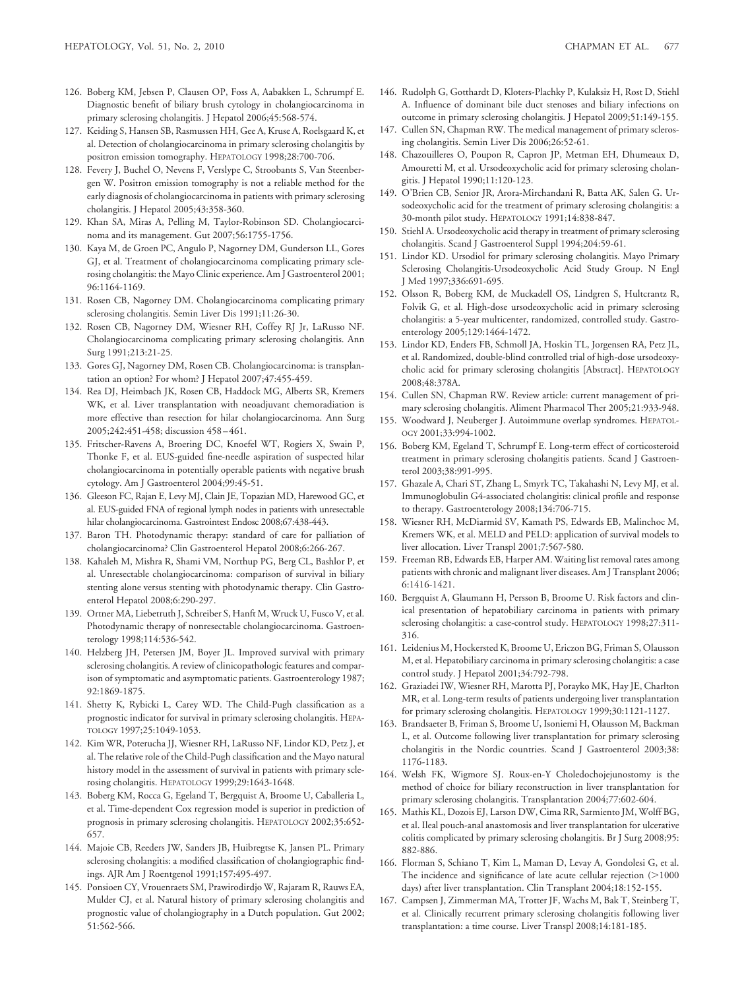- 126. Boberg KM, Jebsen P, Clausen OP, Foss A, Aabakken L, Schrumpf E. Diagnostic benefit of biliary brush cytology in cholangiocarcinoma in primary sclerosing cholangitis. J Hepatol 2006;45:568-574.
- 127. Keiding S, Hansen SB, Rasmussen HH, Gee A, Kruse A, Roelsgaard K, et al. Detection of cholangiocarcinoma in primary sclerosing cholangitis by positron emission tomography. HEPATOLOGY 1998;28:700-706.
- 128. Fevery J, Buchel O, Nevens F, Verslype C, Stroobants S, Van Steenbergen W. Positron emission tomography is not a reliable method for the early diagnosis of cholangiocarcinoma in patients with primary sclerosing cholangitis. J Hepatol 2005;43:358-360.
- 129. Khan SA, Miras A, Pelling M, Taylor-Robinson SD. Cholangiocarcinoma and its management. Gut 2007;56:1755-1756.
- 130. Kaya M, de Groen PC, Angulo P, Nagorney DM, Gunderson LL, Gores GJ, et al. Treatment of cholangiocarcinoma complicating primary sclerosing cholangitis: the Mayo Clinic experience. Am J Gastroenterol 2001; 96:1164-1169.
- 131. Rosen CB, Nagorney DM. Cholangiocarcinoma complicating primary sclerosing cholangitis. Semin Liver Dis 1991;11:26-30.
- 132. Rosen CB, Nagorney DM, Wiesner RH, Coffey RJ Jr, LaRusso NF. Cholangiocarcinoma complicating primary sclerosing cholangitis. Ann Surg 1991;213:21-25.
- 133. Gores GJ, Nagorney DM, Rosen CB. Cholangiocarcinoma: is transplantation an option? For whom? J Hepatol 2007;47:455-459.
- 134. Rea DJ, Heimbach JK, Rosen CB, Haddock MG, Alberts SR, Kremers WK, et al. Liver transplantation with neoadjuvant chemoradiation is more effective than resection for hilar cholangiocarcinoma. Ann Surg 2005;242:451-458; discussion 458 – 461.
- 135. Fritscher-Ravens A, Broering DC, Knoefel WT, Rogiers X, Swain P, Thonke F, et al. EUS-guided fine-needle aspiration of suspected hilar cholangiocarcinoma in potentially operable patients with negative brush cytology. Am J Gastroenterol 2004;99:45-51.
- 136. Gleeson FC, Rajan E, Levy MJ, Clain JE, Topazian MD, Harewood GC, et al. EUS-guided FNA of regional lymph nodes in patients with unresectable hilar cholangiocarcinoma. Gastrointest Endosc 2008;67:438-443.
- 137. Baron TH. Photodynamic therapy: standard of care for palliation of cholangiocarcinoma? Clin Gastroenterol Hepatol 2008;6:266-267.
- 138. Kahaleh M, Mishra R, Shami VM, Northup PG, Berg CL, Bashlor P, et al. Unresectable cholangiocarcinoma: comparison of survival in biliary stenting alone versus stenting with photodynamic therapy. Clin Gastroenterol Hepatol 2008;6:290-297.
- 139. Ortner MA, Liebetruth J, Schreiber S, Hanft M, Wruck U, Fusco V, et al. Photodynamic therapy of nonresectable cholangiocarcinoma. Gastroenterology 1998;114:536-542.
- 140. Helzberg JH, Petersen JM, Boyer JL. Improved survival with primary sclerosing cholangitis. A review of clinicopathologic features and comparison of symptomatic and asymptomatic patients. Gastroenterology 1987; 92:1869-1875.
- 141. Shetty K, Rybicki L, Carey WD. The Child-Pugh classification as a prognostic indicator for survival in primary sclerosing cholangitis. HEPA-TOLOGY 1997;25:1049-1053.
- 142. Kim WR, Poterucha JJ, Wiesner RH, LaRusso NF, Lindor KD, Petz J, et al. The relative role of the Child-Pugh classification and the Mayo natural history model in the assessment of survival in patients with primary sclerosing cholangitis. HEPATOLOGY 1999;29:1643-1648.
- 143. Boberg KM, Rocca G, Egeland T, Bergquist A, Broome U, Caballeria L, et al. Time-dependent Cox regression model is superior in prediction of prognosis in primary sclerosing cholangitis. HEPATOLOGY 2002;35:652- 657.
- 144. Majoie CB, Reeders JW, Sanders JB, Huibregtse K, Jansen PL. Primary sclerosing cholangitis: a modified classification of cholangiographic findings. AJR Am J Roentgenol 1991;157:495-497.
- 145. Ponsioen CY, Vrouenraets SM, Prawirodirdjo W, Rajaram R, Rauws EA, Mulder CJ, et al. Natural history of primary sclerosing cholangitis and prognostic value of cholangiography in a Dutch population. Gut 2002; 51:562-566.
- 146. Rudolph G, Gotthardt D, Kloters-Plachky P, Kulaksiz H, Rost D, Stiehl A. Influence of dominant bile duct stenoses and biliary infections on outcome in primary sclerosing cholangitis. J Hepatol 2009;51:149-155.
- 147. Cullen SN, Chapman RW. The medical management of primary sclerosing cholangitis. Semin Liver Dis 2006;26:52-61.
- 148. Chazouilleres O, Poupon R, Capron JP, Metman EH, Dhumeaux D, Amouretti M, et al. Ursodeoxycholic acid for primary sclerosing cholangitis. J Hepatol 1990;11:120-123.
- 149. O'Brien CB, Senior JR, Arora-Mirchandani R, Batta AK, Salen G. Ursodeoxycholic acid for the treatment of primary sclerosing cholangitis: a 30-month pilot study. HEPATOLOGY 1991;14:838-847.
- 150. Stiehl A. Ursodeoxycholic acid therapy in treatment of primary sclerosing cholangitis. Scand J Gastroenterol Suppl 1994;204:59-61.
- 151. Lindor KD. Ursodiol for primary sclerosing cholangitis. Mayo Primary Sclerosing Cholangitis-Ursodeoxycholic Acid Study Group. N Engl J Med 1997;336:691-695.
- 152. Olsson R, Boberg KM, de Muckadell OS, Lindgren S, Hultcrantz R, Folvik G, et al. High-dose ursodeoxycholic acid in primary sclerosing cholangitis: a 5-year multicenter, randomized, controlled study. Gastroenterology 2005;129:1464-1472.
- 153. Lindor KD, Enders FB, Schmoll JA, Hoskin TL, Jorgensen RA, Petz JL, et al. Randomized, double-blind controlled trial of high-dose ursodeoxycholic acid for primary sclerosing cholangitis [Abstract]. HEPATOLOGY 2008;48:378A.
- 154. Cullen SN, Chapman RW. Review article: current management of primary sclerosing cholangitis. Aliment Pharmacol Ther 2005;21:933-948.
- 155. Woodward J, Neuberger J. Autoimmune overlap syndromes. HEPATOL-OGY 2001;33:994-1002.
- 156. Boberg KM, Egeland T, Schrumpf E. Long-term effect of corticosteroid treatment in primary sclerosing cholangitis patients. Scand J Gastroenterol 2003;38:991-995.
- 157. Ghazale A, Chari ST, Zhang L, Smyrk TC, Takahashi N, Levy MJ, et al. Immunoglobulin G4-associated cholangitis: clinical profile and response to therapy. Gastroenterology 2008;134:706-715.
- 158. Wiesner RH, McDiarmid SV, Kamath PS, Edwards EB, Malinchoc M, Kremers WK, et al. MELD and PELD: application of survival models to liver allocation. Liver Transpl 2001;7:567-580.
- 159. Freeman RB, Edwards EB, Harper AM. Waiting list removal rates among patients with chronic and malignant liver diseases. Am J Transplant 2006; 6:1416-1421.
- 160. Bergquist A, Glaumann H, Persson B, Broome U. Risk factors and clinical presentation of hepatobiliary carcinoma in patients with primary sclerosing cholangitis: a case-control study. HEPATOLOGY 1998;27:311- 316.
- 161. Leidenius M, Hockersted K, Broome U, Ericzon BG, Friman S, Olausson M, et al. Hepatobiliary carcinoma in primary sclerosing cholangitis: a case control study. J Hepatol 2001;34:792-798.
- 162. Graziadei IW, Wiesner RH, Marotta PJ, Porayko MK, Hay JE, Charlton MR, et al. Long-term results of patients undergoing liver transplantation for primary sclerosing cholangitis. HEPATOLOGY 1999;30:1121-1127.
- 163. Brandsaeter B, Friman S, Broome U, Isoniemi H, Olausson M, Backman L, et al. Outcome following liver transplantation for primary sclerosing cholangitis in the Nordic countries. Scand J Gastroenterol 2003;38: 1176-1183.
- 164. Welsh FK, Wigmore SJ. Roux-en-Y Choledochojejunostomy is the method of choice for biliary reconstruction in liver transplantation for primary sclerosing cholangitis. Transplantation 2004;77:602-604.
- 165. Mathis KL, Dozois EJ, Larson DW, Cima RR, Sarmiento JM, Wolff BG, et al. Ileal pouch-anal anastomosis and liver transplantation for ulcerative colitis complicated by primary sclerosing cholangitis. Br J Surg 2008;95: 882-886.
- 166. Florman S, Schiano T, Kim L, Maman D, Levay A, Gondolesi G, et al. The incidence and significance of late acute cellular rejection  $(>1000$ days) after liver transplantation. Clin Transplant 2004;18:152-155.
- 167. Campsen J, Zimmerman MA, Trotter JF, Wachs M, Bak T, Steinberg T, et al. Clinically recurrent primary sclerosing cholangitis following liver transplantation: a time course. Liver Transpl 2008;14:181-185.